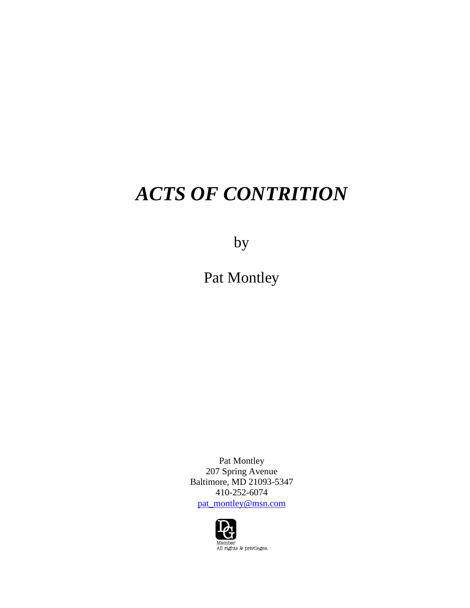# *ACTS OF CONTRITION*

by

Pat Montley

Pat Montley 207 Spring Avenue Baltimore, MD 21093-5347 410-252-6074 [pat\\_montley@msn.com](mailto:pat_montley@msn.com)

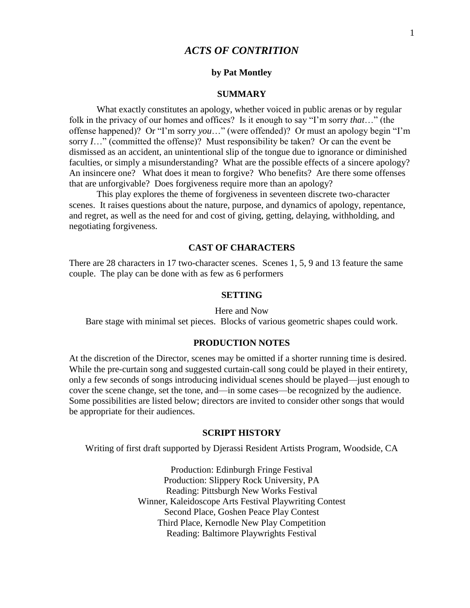# *ACTS OF CONTRITION*

#### **by Pat Montley**

#### **SUMMARY**

What exactly constitutes an apology, whether voiced in public arenas or by regular folk in the privacy of our homes and offices? Is it enough to say "I'm sorry *that*…" (the offense happened)? Or "I'm sorry *you*…" (were offended)? Or must an apology begin "I'm sorry *I*…" (committed the offense)? Must responsibility be taken? Or can the event be dismissed as an accident, an unintentional slip of the tongue due to ignorance or diminished faculties, or simply a misunderstanding? What are the possible effects of a sincere apology? An insincere one? What does it mean to forgive? Who benefits? Are there some offenses that are unforgivable? Does forgiveness require more than an apology?

This play explores the theme of forgiveness in seventeen discrete two-character scenes. It raises questions about the nature, purpose, and dynamics of apology, repentance, and regret, as well as the need for and cost of giving, getting, delaying, withholding, and negotiating forgiveness.

#### **CAST OF CHARACTERS**

There are 28 characters in 17 two-character scenes. Scenes 1, 5, 9 and 13 feature the same couple. The play can be done with as few as 6 performers

#### **SETTING**

#### Here and Now

Bare stage with minimal set pieces. Blocks of various geometric shapes could work.

#### **PRODUCTION NOTES**

At the discretion of the Director, scenes may be omitted if a shorter running time is desired. While the pre-curtain song and suggested curtain-call song could be played in their entirety, only a few seconds of songs introducing individual scenes should be played—just enough to cover the scene change, set the tone, and—in some cases—be recognized by the audience. Some possibilities are listed below; directors are invited to consider other songs that would be appropriate for their audiences.

#### **SCRIPT HISTORY**

Writing of first draft supported by Djerassi Resident Artists Program, Woodside, CA

Production: Edinburgh Fringe Festival Production: Slippery Rock University, PA Reading: Pittsburgh New Works Festival Winner, Kaleidoscope Arts Festival Playwriting Contest Second Place, Goshen Peace Play Contest Third Place, Kernodle New Play Competition Reading: Baltimore Playwrights Festival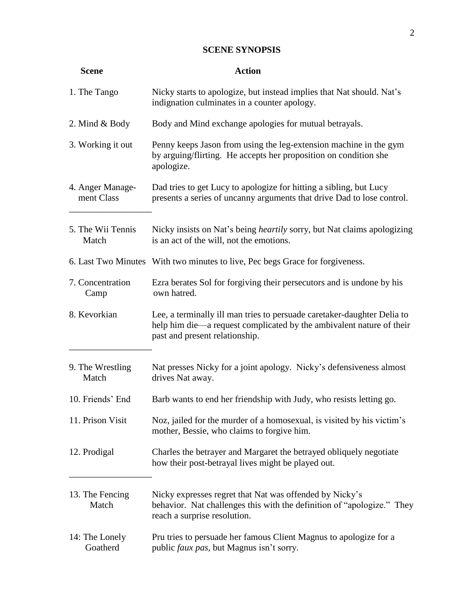# **SCENE SYNOPSIS**

| <b>Scene</b>                   | <b>Action</b>                                                                                                                                                                     |
|--------------------------------|-----------------------------------------------------------------------------------------------------------------------------------------------------------------------------------|
| 1. The Tango                   | Nicky starts to apologize, but instead implies that Nat should. Nat's<br>indignation culminates in a counter apology.                                                             |
| 2. Mind $&$ Body               | Body and Mind exchange apologies for mutual betrayals.                                                                                                                            |
| 3. Working it out              | Penny keeps Jason from using the leg-extension machine in the gym<br>by arguing/flirting. He accepts her proposition on condition she<br>apologize.                               |
| 4. Anger Manage-<br>ment Class | Dad tries to get Lucy to apologize for hitting a sibling, but Lucy<br>presents a series of uncanny arguments that drive Dad to lose control.                                      |
| 5. The Wii Tennis<br>Match     | Nicky insists on Nat's being <i>heartily</i> sorry, but Nat claims apologizing<br>is an act of the will, not the emotions.                                                        |
|                                | 6. Last Two Minutes With two minutes to live, Pec begs Grace for forgiveness.                                                                                                     |
| 7. Concentration<br>Camp       | Ezra berates Sol for forgiving their persecutors and is undone by his<br>own hatred.                                                                                              |
| 8. Kevorkian                   | Lee, a terminally ill man tries to persuade caretaker-daughter Delia to<br>help him die—a request complicated by the ambivalent nature of their<br>past and present relationship. |
| 9. The Wrestling<br>Match      | Nat presses Nicky for a joint apology. Nicky's defensiveness almost<br>drives Nat away.                                                                                           |
| 10. Friends' End               | Barb wants to end her friendship with Judy, who resists letting go.                                                                                                               |
| 11. Prison Visit               | Noz, jailed for the murder of a homosexual, is visited by his victim's<br>mother, Bessie, who claims to forgive him.                                                              |
| 12. Prodigal                   | Charles the betrayer and Margaret the betrayed obliquely negotiate<br>how their post-betrayal lives might be played out.                                                          |
| 13. The Fencing<br>Match       | Nicky expresses regret that Nat was offended by Nicky's<br>behavior. Nat challenges this with the definition of "apologize." They<br>reach a surprise resolution.                 |
| 14: The Lonely<br>Goatherd     | Pru tries to persuade her famous Client Magnus to apologize for a<br>public faux pas, but Magnus isn't sorry.                                                                     |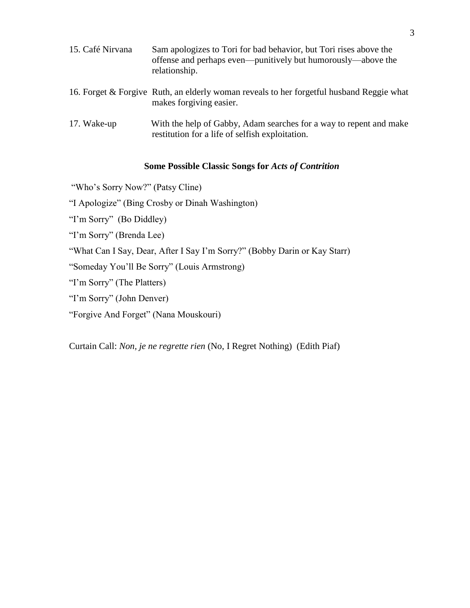| 15. Café Nirvana | Sam apologizes to Tori for bad behavior, but Tori rises above the<br>offense and perhaps even—punitively but humorously—above the<br>relationship. |
|------------------|----------------------------------------------------------------------------------------------------------------------------------------------------|
|                  | 16. Forget & Forgive Ruth, an elderly woman reveals to her forgetful husband Reggie what<br>makes forgiving easier.                                |
| 17. Wake-up      | With the help of Gabby, Adam searches for a way to repent and make<br>restitution for a life of selfish exploitation.                              |

# **Some Possible Classic Songs for** *Acts of Contrition*

"Who's Sorry Now?" (Patsy Cline)

"I Apologize" (Bing Crosby or Dinah Washington)

"I'm Sorry" (Bo Diddley)

"I'm Sorry" (Brenda Lee)

"What Can I Say, Dear, After I Say I'm Sorry?" (Bobby Darin or Kay Starr)

"Someday You'll Be Sorry" (Louis Armstrong)

"I'm Sorry" (The Platters)

"I'm Sorry" (John Denver)

"Forgive And Forget" (Nana Mouskouri)

Curtain Call: *Non, je ne regrette rien* (No, I Regret Nothing) (Edith Piaf)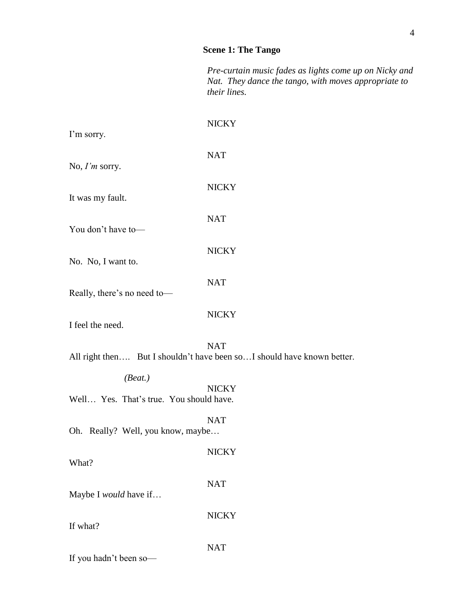# **Scene 1: The Tango**

*Pre-curtain music fades as lights come up on Nicky and Nat. They dance the tango, with moves appropriate to their lines.*

| I'm sorry.                                         | <b>NICKY</b>                                                                         |
|----------------------------------------------------|--------------------------------------------------------------------------------------|
| No, $I'm$ sorry.                                   | <b>NAT</b>                                                                           |
| It was my fault.                                   | <b>NICKY</b>                                                                         |
| You don't have to-                                 | <b>NAT</b>                                                                           |
| No. No, I want to.                                 | <b>NICKY</b>                                                                         |
| Really, there's no need to-                        | <b>NAT</b>                                                                           |
| I feel the need.                                   | <b>NICKY</b>                                                                         |
|                                                    | <b>NAT</b><br>All right then But I shouldn't have been soI should have known better. |
| (Beat.)<br>Well Yes. That's true. You should have. | <b>NICKY</b>                                                                         |
| Oh. Really? Well, you know, maybe                  | <b>NAT</b>                                                                           |
| What?                                              | <b>NICKY</b>                                                                         |
| Maybe I would have if                              | <b>NAT</b>                                                                           |
| If what?                                           | <b>NICKY</b>                                                                         |
| If you hadn't been so-                             | <b>NAT</b>                                                                           |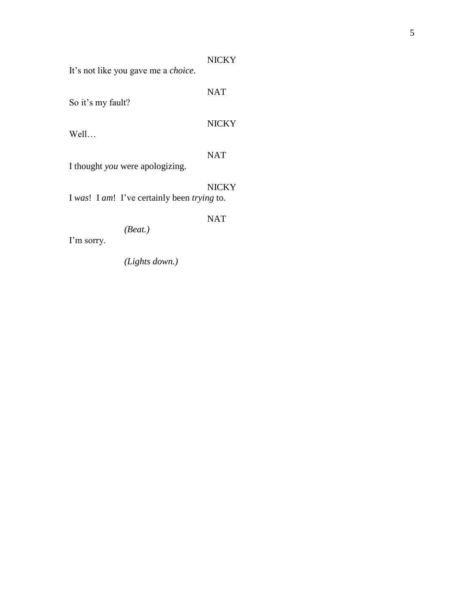|--|--|

It's not like you gave me a *choice*.

NAT So it's my fault? NICKY Well… NAT I thought *you* were apologizing. NICKY I *was*! I *am*! I've certainly been *trying* to. NAT *(Beat.)* 

I'm sorry.

*(Lights down.)*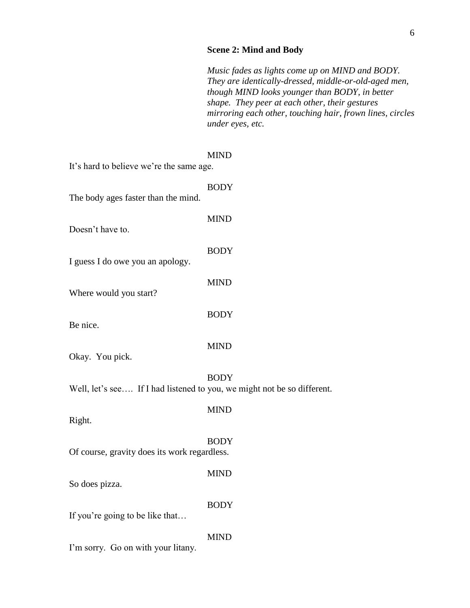# **Scene 2: Mind and Body**

*Music fades as lights come up on MIND and BODY. They are identically-dressed, middle-or-old-aged men, though MIND looks younger than BODY, in better shape. They peer at each other, their gestures mirroring each other, touching hair, frown lines, circles under eyes, etc.*

| It's hard to believe we're the same age.                                | <b>MIND</b> |
|-------------------------------------------------------------------------|-------------|
| The body ages faster than the mind.                                     | <b>BODY</b> |
| Doesn't have to.                                                        | <b>MIND</b> |
|                                                                         | <b>BODY</b> |
| I guess I do owe you an apology.                                        | <b>MIND</b> |
| Where would you start?                                                  | <b>BODY</b> |
| Be nice.                                                                | <b>MIND</b> |
| Okay. You pick.                                                         |             |
| Well, let's see If I had listened to you, we might not be so different. | <b>BODY</b> |
| Right.                                                                  | <b>MIND</b> |
| Of course, gravity does its work regardless.                            | <b>BODY</b> |
| So does pizza.                                                          | <b>MIND</b> |
|                                                                         | <b>BODY</b> |

If you're going to be like that…

I'm sorry. Go on with your litany.

MIND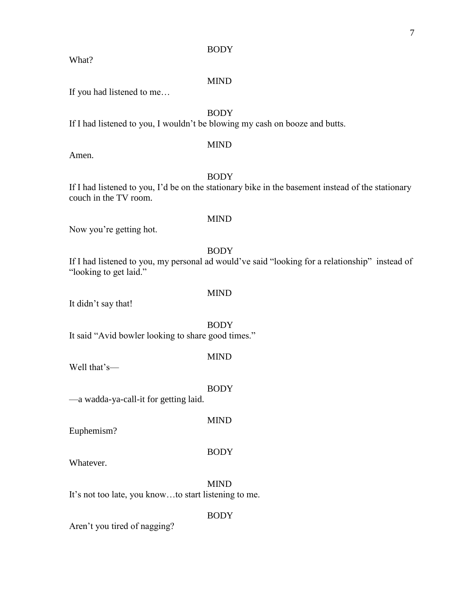#### BODY

What?

#### MIND

If you had listened to me…

# BODY

If I had listened to you, I wouldn't be blowing my cash on booze and butts.

# MIND

Amen.

# BODY

MIND

MIND

If I had listened to you, I'd be on the stationary bike in the basement instead of the stationary couch in the TV room.

# Now you're getting hot.

# BODY

If I had listened to you, my personal ad would've said "looking for a relationship" instead of "looking to get laid."

It didn't say that!

BODY It said "Avid bowler looking to share good times."

MIND

Well that's—

BODY

MIND

—a wadda-ya-call-it for getting laid.

Euphemism?

# BODY

Whatever.

MIND It's not too late, you know…to start listening to me.

BODY

Aren't you tired of nagging?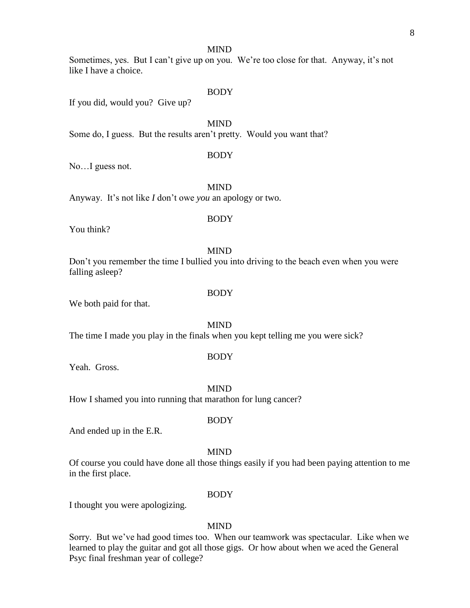#### MIND

# Sometimes, yes. But I can't give up on you. We're too close for that. Anyway, it's not like I have a choice.

#### BODY

If you did, would you? Give up?

MIND

Some do, I guess. But the results aren't pretty. Would you want that?

#### BODY

No…I guess not.

MIND

Anyway. It's not like *I* don't owe *you* an apology or two.

# BODY

You think?

#### MIND

Don't you remember the time I bullied you into driving to the beach even when you were falling asleep?

We both paid for that.

MIND

The time I made you play in the finals when you kept telling me you were sick?

#### BODY

Yeah. Gross.

MIND How I shamed you into running that marathon for lung cancer?

And ended up in the E.R.

#### MIND

**BODY** 

Of course you could have done all those things easily if you had been paying attention to me in the first place.

#### BODY

I thought you were apologizing.

#### MIND

Sorry. But we've had good times too. When our teamwork was spectacular. Like when we learned to play the guitar and got all those gigs. Or how about when we aced the General Psyc final freshman year of college?

**BODY**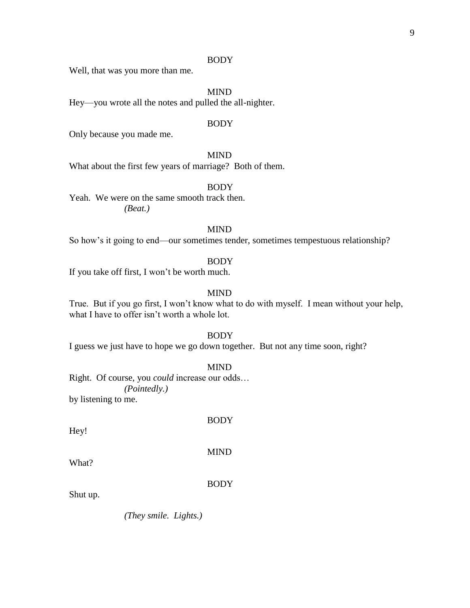#### BODY

Well, that was you more than me.

MIND

Hey—you wrote all the notes and pulled the all-nighter.

#### BODY

Only because you made me.

#### MIND

What about the first few years of marriage? Both of them.

# BODY

Yeah. We were on the same smooth track then. *(Beat.)*

#### MIND

So how's it going to end—our sometimes tender, sometimes tempestuous relationship?

#### BODY

If you take off first, I won't be worth much.

#### MIND

True. But if you go first, I won't know what to do with myself. I mean without your help, what I have to offer isn't worth a whole lot.

#### BODY

I guess we just have to hope we go down together. But not any time soon, right?

#### MIND

Right. Of course, you *could* increase our odds… *(Pointedly.)*  by listening to me.

Hey!

BODY

MIND

What?

BODY

Shut up.

*(They smile. Lights.)*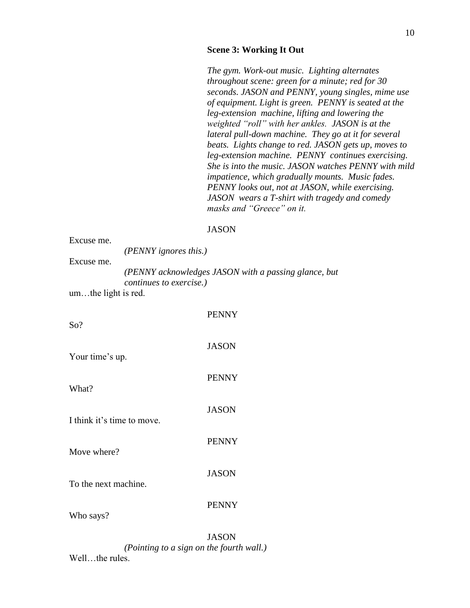#### **Scene 3: Working It Out**

*The gym. Work-out music. Lighting alternates throughout scene: green for a minute; red for 30 seconds. JASON and PENNY, young singles, mime use of equipment. Light is green. PENNY is seated at the leg-extension machine, lifting and lowering the weighted "roll" with her ankles. JASON is at the lateral pull-down machine. They go at it for several beats. Lights change to red. JASON gets up, moves to leg-extension machine. PENNY continues exercising. She is into the music. JASON watches PENNY with mild impatience, which gradually mounts. Music fades. PENNY looks out, not at JASON, while exercising. JASON wears a T-shirt with tragedy and comedy masks and "Greece" on it.*

#### JASON

| Excuse me.                 | (PENNY ignores this.)   |                                                      |  |  |
|----------------------------|-------------------------|------------------------------------------------------|--|--|
| Excuse me.                 |                         |                                                      |  |  |
|                            | continues to exercise.) | (PENNY acknowledges JASON with a passing glance, but |  |  |
| umthe light is red.        |                         |                                                      |  |  |
|                            |                         | <b>PENNY</b>                                         |  |  |
| So?                        |                         |                                                      |  |  |
|                            |                         | <b>JASON</b>                                         |  |  |
| Your time's up.            |                         |                                                      |  |  |
| What?                      |                         | <b>PENNY</b>                                         |  |  |
|                            |                         |                                                      |  |  |
| I think it's time to move. |                         | <b>JASON</b>                                         |  |  |
|                            |                         | <b>PENNY</b>                                         |  |  |
| Move where?                |                         |                                                      |  |  |
|                            |                         | <b>JASON</b>                                         |  |  |
| To the next machine.       |                         |                                                      |  |  |
|                            |                         | <b>PENNY</b>                                         |  |  |
| Who says?                  |                         |                                                      |  |  |

JASON *(Pointing to a sign on the fourth wall.)* Well...the rules.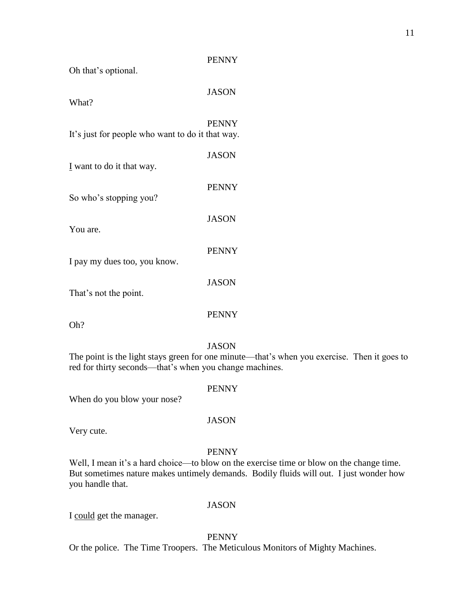| Oh that's optional.                              |              |
|--------------------------------------------------|--------------|
| What?                                            | <b>JASON</b> |
| It's just for people who want to do it that way. | <b>PENNY</b> |
| I want to do it that way.                        | <b>JASON</b> |
| So who's stopping you?                           | <b>PENNY</b> |
| You are.                                         | <b>JASON</b> |
| I pay my dues too, you know.                     | <b>PENNY</b> |
| That's not the point.                            | JASON        |

Oh?

# JASON

PENNY

PENNY

The point is the light stays green for one minute—that's when you exercise. Then it goes to red for thirty seconds—that's when you change machines.

When do you blow your nose?

#### JASON

PENNY

Very cute.

#### PENNY

Well, I mean it's a hard choice—to blow on the exercise time or blow on the change time. But sometimes nature makes untimely demands. Bodily fluids will out. I just wonder how you handle that.

#### JASON

I could get the manager.

PENNY

Or the police. The Time Troopers. The Meticulous Monitors of Mighty Machines.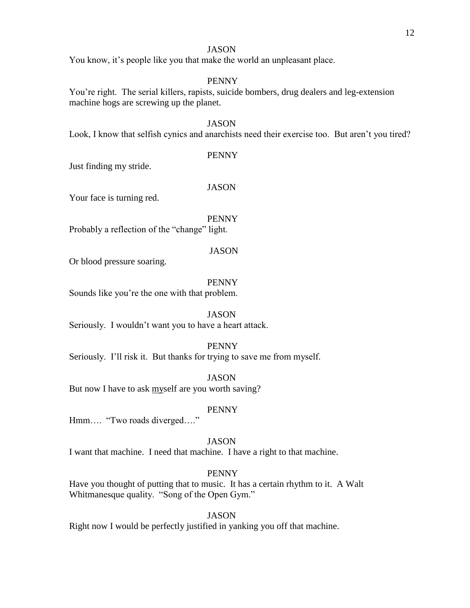#### 12

#### JASON

You know, it's people like you that make the world an unpleasant place.

#### PENNY

You're right. The serial killers, rapists, suicide bombers, drug dealers and leg-extension machine hogs are screwing up the planet.

#### **JASON**

Look, I know that selfish cynics and anarchists need their exercise too. But aren't you tired?

#### PENNY

Just finding my stride.

#### JASON

Your face is turning red.

PENNY

Probably a reflection of the "change" light.

#### JASON

Or blood pressure soaring.

#### PENNY

Sounds like you're the one with that problem.

#### JASON

Seriously. I wouldn't want you to have a heart attack.

#### PENNY

Seriously. I'll risk it. But thanks for trying to save me from myself.

#### JASON

But now I have to ask myself are you worth saving?

#### PENNY

Hmm…. "Two roads diverged…."

#### JASON

I want that machine. I need that machine. I have a right to that machine.

# PENNY

Have you thought of putting that to music. It has a certain rhythm to it. A Walt Whitmanesque quality. "Song of the Open Gym."

#### **JASON**

Right now I would be perfectly justified in yanking you off that machine.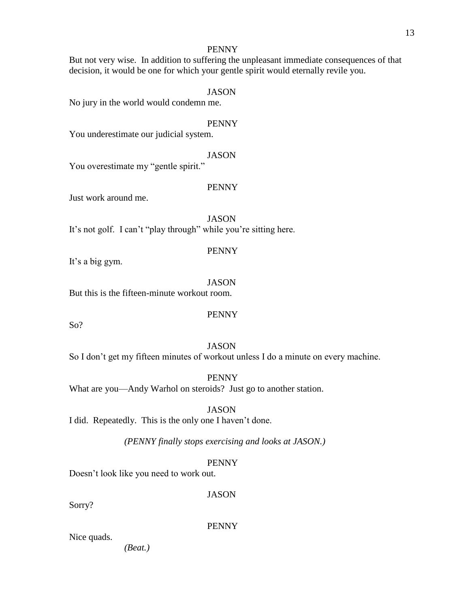# PENNY

But not very wise. In addition to suffering the unpleasant immediate consequences of that decision, it would be one for which your gentle spirit would eternally revile you.

#### JASON

No jury in the world would condemn me.

#### PENNY

You underestimate our judicial system.

#### JASON

You overestimate my "gentle spirit."

# PENNY

Just work around me.

JASON It's not golf. I can't "play through" while you're sitting here.

#### PENNY

It's a big gym.

#### **JASON** But this is the fifteen-minute workout room.

# PENNY

So?

# JASON

So I don't get my fifteen minutes of workout unless I do a minute on every machine.

PENNY

What are you—Andy Warhol on steroids? Just go to another station.

JASON

I did. Repeatedly. This is the only one I haven't done.

*(PENNY finally stops exercising and looks at JASON.)*

# PENNY

Doesn't look like you need to work out.

**JASON** 

Sorry?

PENNY

Nice quads.

*(Beat.)*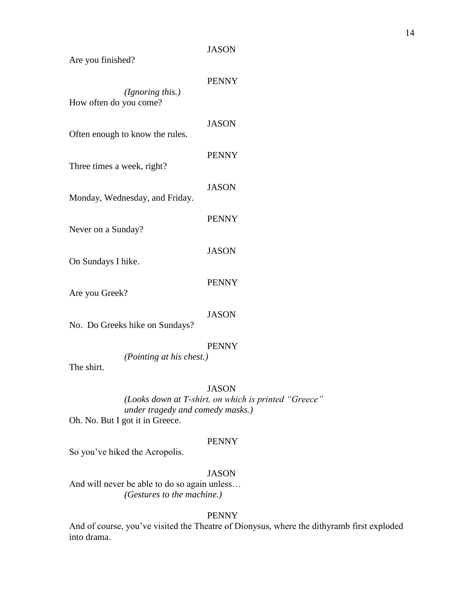#### JASON

Are you finished?

| (Ignoring this.)<br>How often do you come? | <b>PENNY</b> |
|--------------------------------------------|--------------|
| Often enough to know the rules.            | <b>JASON</b> |
| Three times a week, right?                 | <b>PENNY</b> |
| Monday, Wednesday, and Friday.             | <b>JASON</b> |
| Never on a Sunday?                         | <b>PENNY</b> |
| On Sundays I hike.                         | <b>JASON</b> |
| Are you Greek?                             | <b>PENNY</b> |
| No. Do Greeks hike on Sundays?             | <b>JASON</b> |
| (Pointing at his chest.)<br>The shirt.     | <b>PENNY</b> |

#### JASON

*(Looks down at T-shirt, on which is printed "Greece" under tragedy and comedy masks.)* Oh. No. But I got it in Greece.

#### PENNY

So you've hiked the Acropolis.

# JASON

And will never be able to do so again unless… *(Gestures to the machine.)*

### PENNY

And of course, you've visited the Theatre of Dionysus, where the dithyramb first exploded into drama.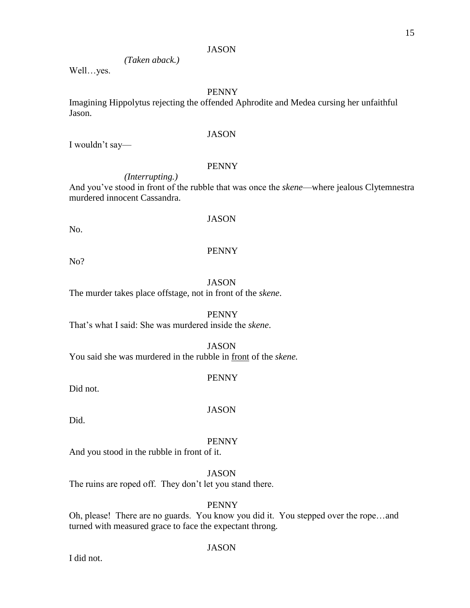#### **JASON**

# *(Taken aback.)*

Well…yes.

# PENNY

Imagining Hippolytus rejecting the offended Aphrodite and Medea cursing her unfaithful Jason.

#### JASON

I wouldn't say—

#### PENNY

*(Interrupting.)*

And you've stood in front of the rubble that was once the *skene*—where jealous Clytemnestra murdered innocent Cassandra.

No.

# JASON

#### PENNY

No?

#### **JASON**

The murder takes place offstage, not in front of the *skene*.

PENNY

That's what I said: She was murdered inside the *skene*.

#### JASON

You said she was murdered in the rubble in front of the *skene.*

#### PENNY

Did not.

#### JASON

Did.

#### PENNY

And you stood in the rubble in front of it.

# JASON

The ruins are roped off. They don't let you stand there.

#### PENNY

Oh, please! There are no guards. You know you did it. You stepped over the rope…and turned with measured grace to face the expectant throng.

#### JASON

I did not.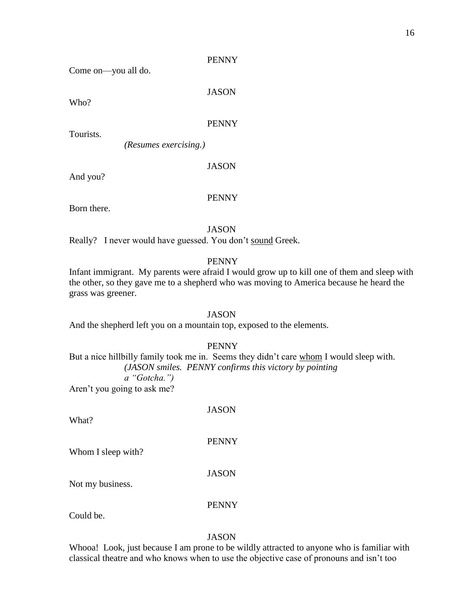#### PENNY

Come on—you all do.

**JASON** 

Who?

#### PENNY

Tourists.

*(Resumes exercising.)*

# JASON

And you?

#### PENNY

Born there.

JASON

Really? I never would have guessed. You don't sound Greek.

#### PENNY

Infant immigrant. My parents were afraid I would grow up to kill one of them and sleep with the other, so they gave me to a shepherd who was moving to America because he heard the grass was greener.

And the shepherd left you on a mountain top, exposed to the elements.

#### PENNY

JASON

But a nice hillbilly family took me in. Seems they didn't care whom I would sleep with. *(JASON smiles. PENNY confirms this victory by pointing a "Gotcha.")* Aren't you going to ask me?

What?

Whom I sleep with?

JASON

PENNY

Not my business.

PENNY

Could be.

#### JASON

Whooa! Look, just because I am prone to be wildly attracted to anyone who is familiar with classical theatre and who knows when to use the objective case of pronouns and isn't too

JASON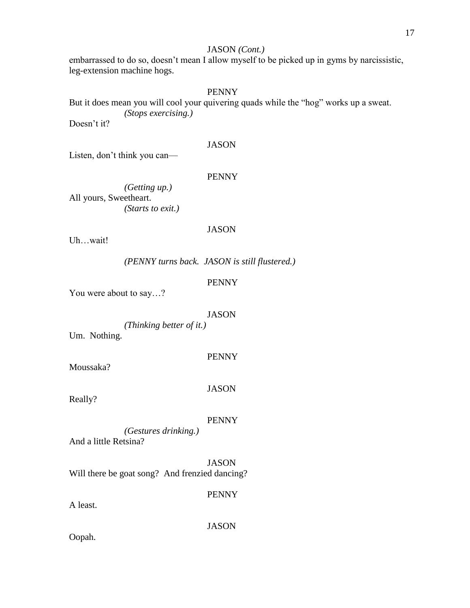# JASON *(Cont.)*

embarrassed to do so, doesn't mean I allow myself to be picked up in gyms by narcissistic, leg-extension machine hogs.

#### PENNY

But it does mean you will cool your quivering quads while the "hog" works up a sweat. *(Stops exercising.)*

Doesn't it?

# JASON

Listen, don't think you can—

PENNY

*(Getting up.)* All yours, Sweetheart. *(Starts to exit.)*

#### JASON

Uh…wait!

*(PENNY turns back. JASON is still flustered.)*

PENNY

You were about to say…?

#### JASON

*(Thinking better of it.)* Um. Nothing.

Moussaka?

JASON

PENNY

Really?

#### PENNY

*(Gestures drinking.)* And a little Retsina?

JASON Will there be goat song? And frenzied dancing?

PENNY

A least.

JASON

Oopah.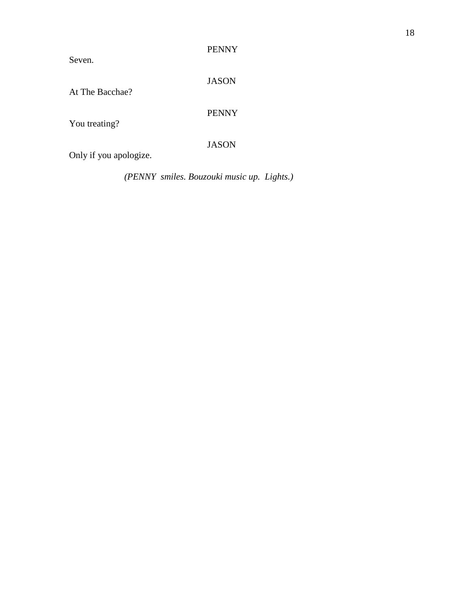# PENNY

Seven.

JASON

At The Bacchae?

You treating?

PENNY

JASON

Only if you apologize.

*(PENNY smiles. Bouzouki music up. Lights.)*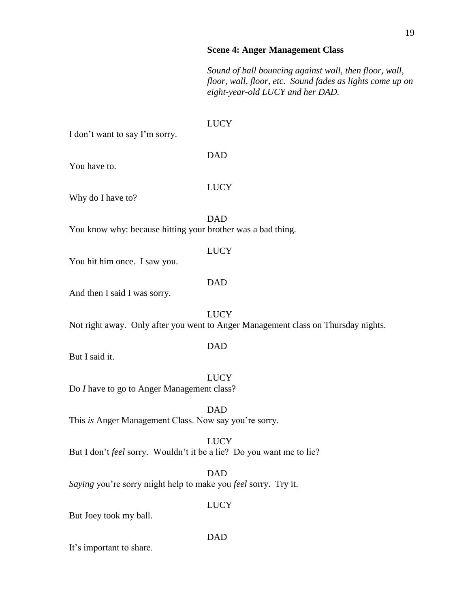#### **Scene 4: Anger Management Class**

*Sound of ball bouncing against wall, then floor, wall, floor, wall, floor, etc. Sound fades as lights come up on eight-year-old LUCY and her DAD.*

#### LUCY

I don't want to say I'm sorry.

#### DAD

You have to.

#### **LUCY**

Why do I have to?

DAD You know why: because hitting your brother was a bad thing.

#### LUCY

You hit him once. I saw you.

#### DAD

And then I said I was sorry.

**LUCY** Not right away. Only after you went to Anger Management class on Thursday nights.

#### DAD

But I said it.

LUCY Do *I* have to go to Anger Management class?

DAD This *is* Anger Management Class. Now say you're sorry.

LUCY But I don't *feel* sorry. Wouldn't it be a lie? Do you want me to lie?

DAD *Saying* you're sorry might help to make you *feel* sorry. Try it.

#### LUCY

But Joey took my ball.

#### DAD

It's important to share.

#### 19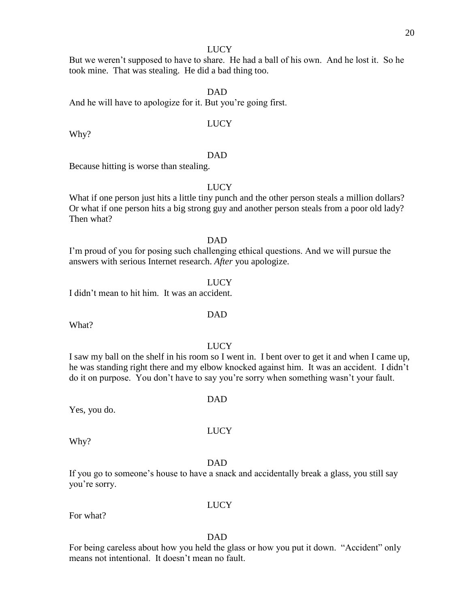#### LUCY

But we weren't supposed to have to share. He had a ball of his own. And he lost it. So he took mine. That was stealing. He did a bad thing too.

#### DAD

And he will have to apologize for it. But you're going first.

#### LUCY

Why?

#### DAD

Because hitting is worse than stealing.

#### LUCY

What if one person just hits a little tiny punch and the other person steals a million dollars? Or what if one person hits a big strong guy and another person steals from a poor old lady? Then what?

# DAD

I'm proud of you for posing such challenging ethical questions. And we will pursue the answers with serious Internet research. *After* you apologize.

#### **LUCY**

I didn't mean to hit him. It was an accident.

What?

#### LUCY

DAD

LUCY

DAD

I saw my ball on the shelf in his room so I went in. I bent over to get it and when I came up, he was standing right there and my elbow knocked against him. It was an accident. I didn't do it on purpose. You don't have to say you're sorry when something wasn't your fault.

Yes, you do.

Why?

#### DAD

If you go to someone's house to have a snack and accidentally break a glass, you still say you're sorry.

For what?

# LUCY

DAD

For being careless about how you held the glass or how you put it down. "Accident" only means not intentional. It doesn't mean no fault.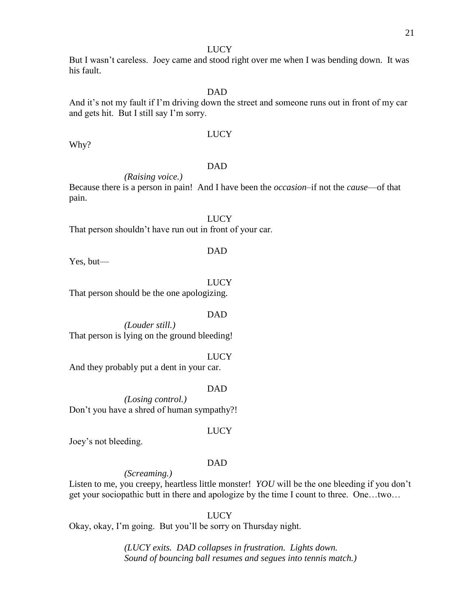#### **LUCY**

But I wasn't careless. Joey came and stood right over me when I was bending down. It was his fault.

#### DAD

And it's not my fault if I'm driving down the street and someone runs out in front of my car and gets hit. But I still say I'm sorry.

#### LUCY

Why?

#### DAD

*(Raising voice.)* 

Because there is a person in pain! And I have been the *occasion*–if not the *cause*—of that pain.

LUCY That person shouldn't have run out in front of your car.

#### DAD

Yes, but—

LUCY That person should be the one apologizing.

#### DAD

*(Louder still.)*  That person is lying on the ground bleeding!

**LUCY** 

And they probably put a dent in your car.

DAD

*(Losing control.)*  Don't you have a shred of human sympathy?!

#### LUCY

Joey's not bleeding.

#### DAD

*(Screaming.)* 

Listen to me, you creepy, heartless little monster! *YOU* will be the one bleeding if you don't get your sociopathic butt in there and apologize by the time I count to three. One…two…

LUCY

Okay, okay, I'm going. But you'll be sorry on Thursday night.

*(LUCY exits. DAD collapses in frustration. Lights down. Sound of bouncing ball resumes and segues into tennis match.)*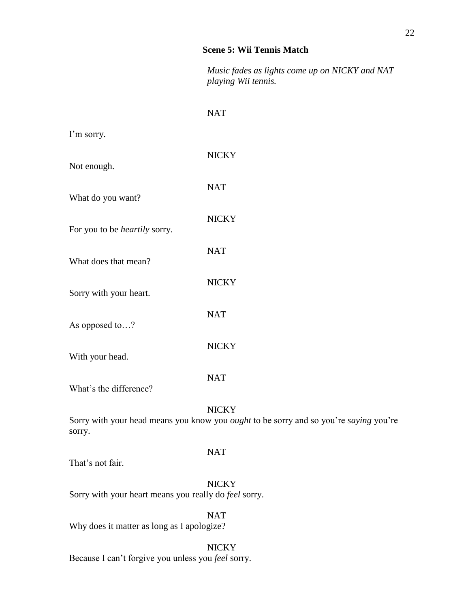#### **Scene 5: Wii Tennis Match**

*Music fades as lights come up on NICKY and NAT playing Wii tennis.*

# NAT

I'm sorry.

| Not enough.                          | <b>NICKY</b> |
|--------------------------------------|--------------|
| What do you want?                    | <b>NAT</b>   |
| For you to be <i>heartily</i> sorry. | <b>NICKY</b> |
| What does that mean?                 | <b>NAT</b>   |
| Sorry with your heart.               | <b>NICKY</b> |
| As opposed to?                       | <b>NAT</b>   |
| With your head.                      | <b>NICKY</b> |
|                                      | <b>NAT</b>   |

What's the difference?

#### **NICKY**

Sorry with your head means you know you *ought* to be sorry and so you're *saying* you're sorry.

#### NAT

That's not fair.

**NICKY** Sorry with your heart means you really do *feel* sorry.

NAT Why does it matter as long as I apologize?

**NICKY** Because I can't forgive you unless you *feel* sorry.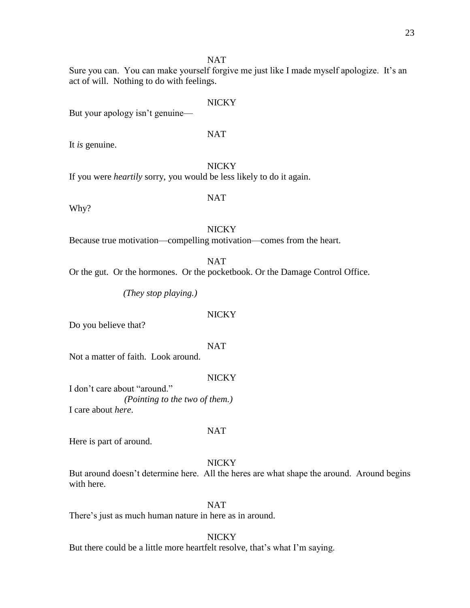#### NAT

Sure you can. You can make yourself forgive me just like I made myself apologize. It's an act of will. Nothing to do with feelings.

# **NICKY**

But your apology isn't genuine—

#### NAT

It *is* genuine.

**NICKY** 

If you were *heartily* sorry, you would be less likely to do it again.

## NAT

Why?

#### **NICKY**

Because true motivation—compelling motivation—comes from the heart.

NAT

Or the gut. Or the hormones. Or the pocketbook. Or the Damage Control Office.

*(They stop playing.)*

#### NICKY

Do you believe that?

NAT

Not a matter of faith. Look around.

#### **NICKY**

I don't care about "around." *(Pointing to the two of them.)*  I care about *here*.

Here is part of around.

#### **NICKY**

NAT

But around doesn't determine here. All the heres are what shape the around. Around begins with here.

### NAT

There's just as much human nature in here as in around.

#### **NICKY**

But there could be a little more heartfelt resolve, that's what I'm saying.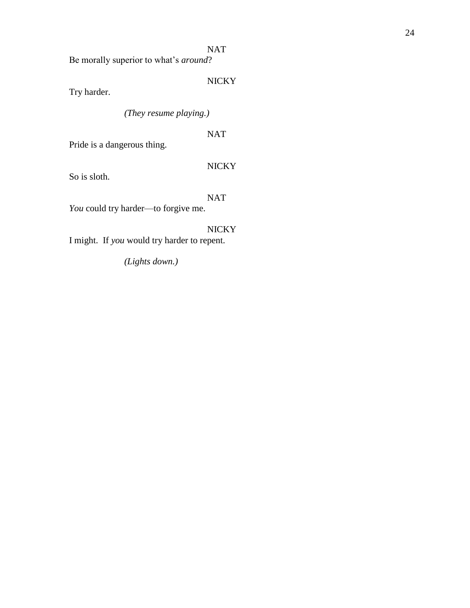# NAT

Be morally superior to what's *around*?

# NICKY

Try harder.

*(They resume playing.)*

# NAT

Pride is a dangerous thing.

# NICKY

So is sloth.

# NAT

*You* could try harder—to forgive me.

# NICKY

I might. If *you* would try harder to repent.

*(Lights down.)*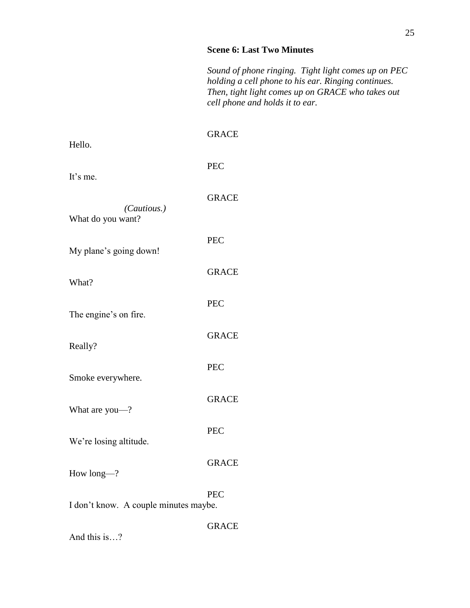#### **Scene 6: Last Two Minutes**

*Sound of phone ringing. Tight light comes up on PEC holding a cell phone to his ear. Ringing continues. Then, tight light comes up on GRACE who takes out cell phone and holds it to ear.*

| Hello.                                | <b>GRACE</b> |
|---------------------------------------|--------------|
| It's me.                              | <b>PEC</b>   |
| (Cautious.)                           | <b>GRACE</b> |
| What do you want?                     | <b>PEC</b>   |
| My plane's going down!                | <b>GRACE</b> |
| What?                                 | <b>PEC</b>   |
| The engine's on fire.                 | <b>GRACE</b> |
| Really?                               | <b>PEC</b>   |
| Smoke everywhere.                     | <b>GRACE</b> |
| What are you-?                        | <b>PEC</b>   |
| We're losing altitude.                | <b>GRACE</b> |
| How long-?                            |              |
| I don't know. A couple minutes maybe. | <b>PEC</b>   |
|                                       | <b>GRACE</b> |

And this is…?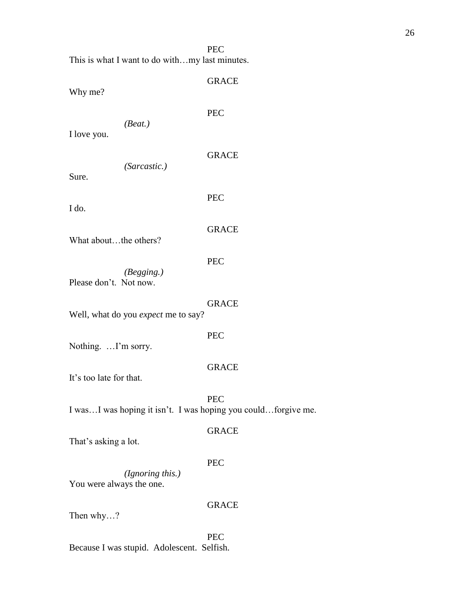PEC

This is what I want to do with…my last minutes.

GRACE Why me? PEC *(Beat.)* I love you. GRACE *(Sarcastic.)*  Sure. PEC I do. GRACE What about...the others? PEC *(Begging.)* Please don't. Not now. GRACE Well, what do you *expect* me to say? PEC Nothing. …I'm sorry. GRACE It's too late for that. PEC I was…I was hoping it isn't. I was hoping you could…forgive me. GRACE That's asking a lot. PEC *(Ignoring this.)* You were always the one. GRACE Then why…? PEC

Because I was stupid. Adolescent. Selfish.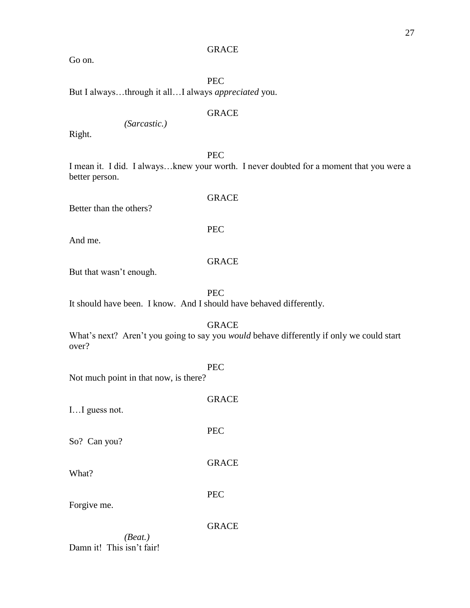#### GRACE

Go on.

PEC

But I always…through it all…I always *appreciated* you.

### GRACE

*(Sarcastic.)*

Right.

PEC

I mean it. I did. I always…knew your worth. I never doubted for a moment that you were a better person.

Better than the others?

And me.

# GRACE

GRACE

PEC

But that wasn't enough.

PEC

It should have been. I know. And I should have behaved differently.

GRACE

What's next? Aren't you going to say you *would* behave differently if only we could start over?

PEC

Not much point in that now, is there?

GRACE I…I guess not. PEC So? Can you? GRACE What? PEC Forgive me. GRACE *(Beat.)*

Damn it! This isn't fair!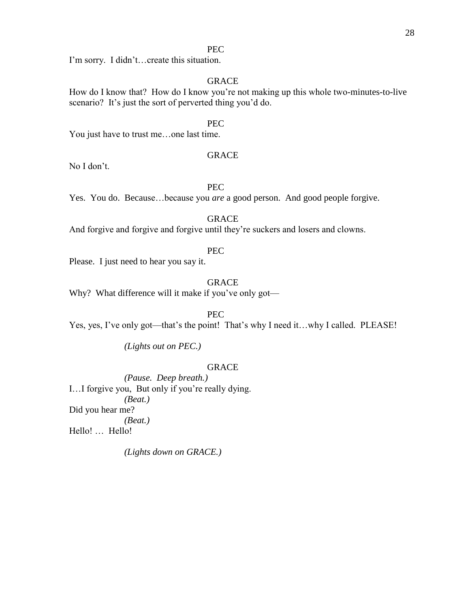#### PEC

I'm sorry. I didn't…create this situation.

# GRACE

How do I know that? How do I know you're not making up this whole two-minutes-to-live scenario? It's just the sort of perverted thing you'd do.

PEC

You just have to trust me…one last time.

#### GRACE

No I don't.

PEC

Yes. You do. Because…because you *are* a good person. And good people forgive.

GRACE

And forgive and forgive and forgive until they're suckers and losers and clowns.

#### PEC

Please. I just need to hear you say it.

GRACE

Why? What difference will it make if you've only got—

PEC

Yes, yes, I've only got—that's the point! That's why I need it...why I called. PLEASE!

*(Lights out on PEC.)*

#### GRACE

*(Pause. Deep breath.)* I…I forgive you, But only if you're really dying. *(Beat.)* Did you hear me? *(Beat.)* Hello! … Hello!

*(Lights down on GRACE.)*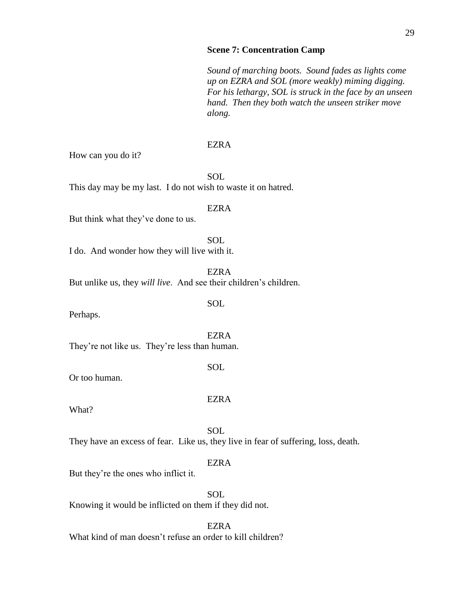#### **Scene 7: Concentration Camp**

*Sound of marching boots. Sound fades as lights come up on EZRA and SOL (more weakly) miming digging. For his lethargy, SOL is struck in the face by an unseen hand. Then they both watch the unseen striker move along.*

#### EZRA

How can you do it?

SOL This day may be my last. I do not wish to waste it on hatred.

#### EZRA

But think what they've done to us.

**SOL** I do. And wonder how they will live with it.

EZRA

SOL

But unlike us, they *will live*. And see their children's children.

Perhaps.

EZRA They're not like us. They're less than human.

#### SOL

Or too human.

#### EZRA

What?

SOL

They have an excess of fear. Like us, they live in fear of suffering, loss, death.

#### EZRA

But they're the ones who inflict it.

**SOL** 

Knowing it would be inflicted on them if they did not.

#### EZRA

What kind of man doesn't refuse an order to kill children?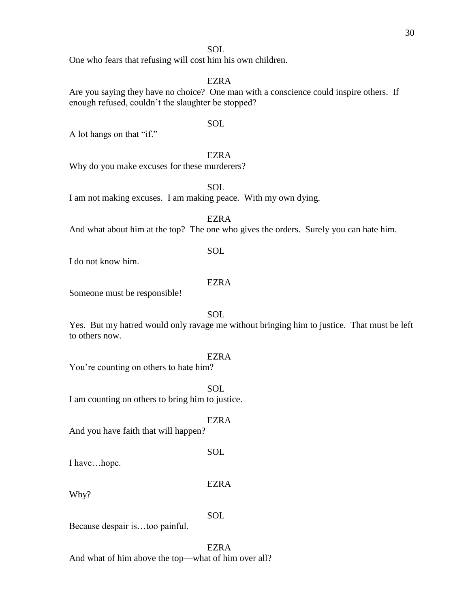#### SOL

One who fears that refusing will cost him his own children.

# EZRA

Are you saying they have no choice? One man with a conscience could inspire others. If enough refused, couldn't the slaughter be stopped?

#### SOL

A lot hangs on that "if."

#### EZRA

Why do you make excuses for these murderers?

SOL

I am not making excuses. I am making peace. With my own dying.

EZRA

SOL

And what about him at the top? The one who gives the orders. Surely you can hate him.

I do not know him.

#### EZRA

Someone must be responsible!

SOL

Yes. But my hatred would only ravage me without bringing him to justice. That must be left to others now.

#### EZRA

You're counting on others to hate him?

**SOL** 

I am counting on others to bring him to justice.

EZRA

And you have faith that will happen?

I have…hope.

EZRA

SOL

Why?

SOL

Because despair is…too painful.

EZRA

And what of him above the top—what of him over all?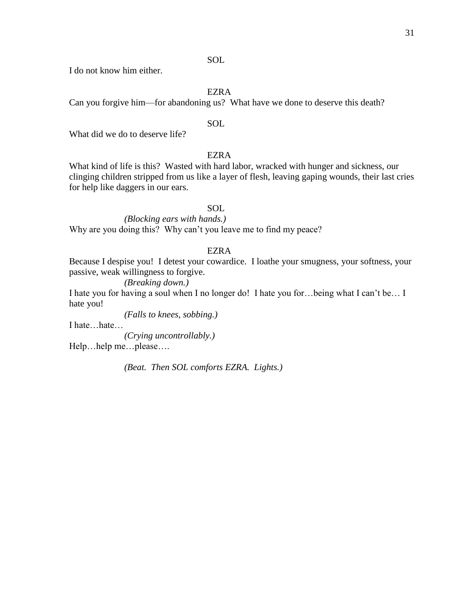# SOL

I do not know him either.

#### EZRA

Can you forgive him—for abandoning us? What have we done to deserve this death?

#### SOL

What did we do to deserve life?

## EZRA

What kind of life is this? Wasted with hard labor, wracked with hunger and sickness, our clinging children stripped from us like a layer of flesh, leaving gaping wounds, their last cries for help like daggers in our ears.

# SOL

*(Blocking ears with hands.)* Why are you doing this? Why can't you leave me to find my peace?

## EZRA

Because I despise you! I detest your cowardice. I loathe your smugness, your softness, your passive, weak willingness to forgive.

*(Breaking down.)*

I hate you for having a soul when I no longer do! I hate you for…being what I can't be… I hate you!

*(Falls to knees, sobbing.)*

I hate…hate…

*(Crying uncontrollably.)*

Help…help me…please….

*(Beat. Then SOL comforts EZRA. Lights.)*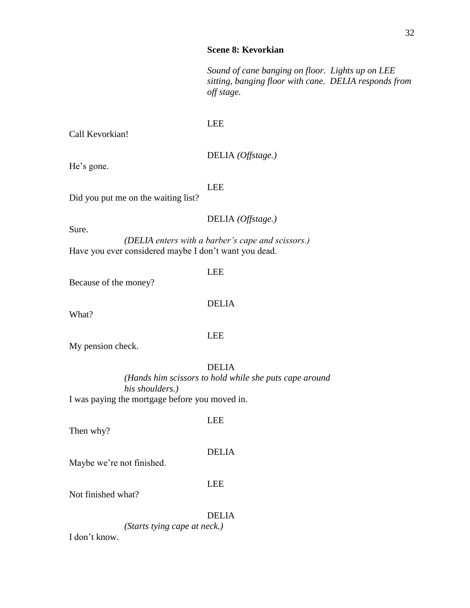### **Scene 8: Kevorkian**

*Sound of cane banging on floor. Lights up on LEE sitting, banging floor with cane. DELIA responds from off stage.*

#### LEE

Call Kevorkian!

DELIA *(Offstage.)*

He's gone.

#### LEE

Did you put me on the waiting list?

# DELIA *(Offstage.)*

Sure.

*(DELIA enters with a barber's cape and scissors.)* Have you ever considered maybe I don't want you dead.

LEE

Because of the money?

# DELIA

What?

### LEE

My pension check.

# DELIA

*(Hands him scissors to hold while she puts cape around his shoulders.)* I was paying the mortgage before you moved in.

#### LEE

Then why?

#### DELIA

Maybe we're not finished.

#### LEE

Not finished what?

#### DELIA

*(Starts tying cape at neck.)*

I don't know.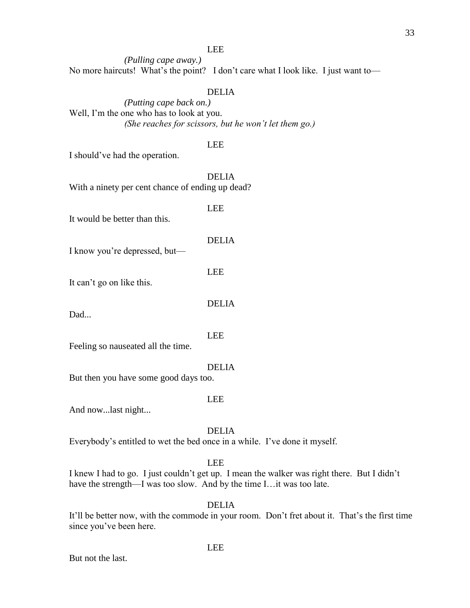#### LEE

*(Pulling cape away.)* No more haircuts! What's the point? I don't care what I look like. I just want to—

#### DELIA

*(Putting cape back on.)* Well, I'm the one who has to look at you. *(She reaches for scissors, but he won't let them go.)*

#### LEE

I should've had the operation.

DELIA With a ninety per cent chance of ending up dead?

It would be better than this.

#### DELIA

I know you're depressed, but—

LEE

It can't go on like this.

Dad...

LEE

Feeling so nauseated all the time.

#### DELIA

But then you have some good days too.

#### LEE

And now...last night...

DELIA

Everybody's entitled to wet the bed once in a while. I've done it myself.

# LEE

I knew I had to go. I just couldn't get up. I mean the walker was right there. But I didn't have the strength—I was too slow. And by the time I…it was too late.

#### DELIA

LEE

It'll be better now, with the commode in your room. Don't fret about it. That's the first time since you've been here.

But not the last.

# LEE

DELIA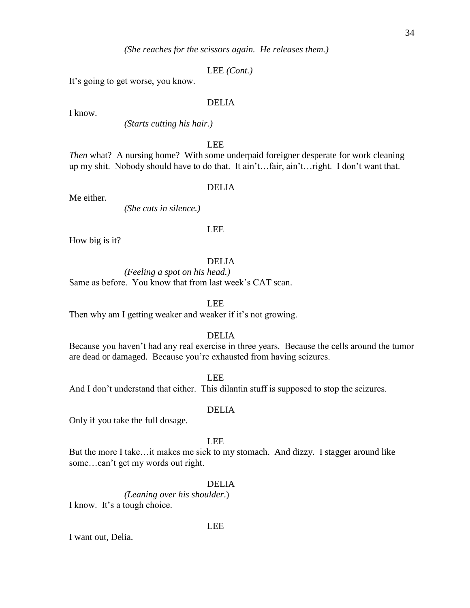*(She reaches for the scissors again. He releases them.)*

LEE *(Cont.)*

It's going to get worse, you know.

# DELIA

I know.

*(Starts cutting his hair.)*

LEE

*Then* what? A nursing home? With some underpaid foreigner desperate for work cleaning up my shit. Nobody should have to do that. It ain't…fair, ain't…right. I don't want that.

#### DELIA

Me either.

*(She cuts in silence.)*

#### LEE

How big is it?

#### DELIA

*(Feeling a spot on his head.)* Same as before. You know that from last week's CAT scan.

LEE

Then why am I getting weaker and weaker if it's not growing.

## DELIA

Because you haven't had any real exercise in three years. Because the cells around the tumor are dead or damaged. Because you're exhausted from having seizures.

LEE

And I don't understand that either. This dilantin stuff is supposed to stop the seizures.

#### DELIA

Only if you take the full dosage.

LEE

But the more I take…it makes me sick to my stomach. And dizzy. I stagger around like some…can't get my words out right.

#### DELIA

*(Leaning over his shoulder*.) I know. It's a tough choice.

#### LEE

I want out, Delia.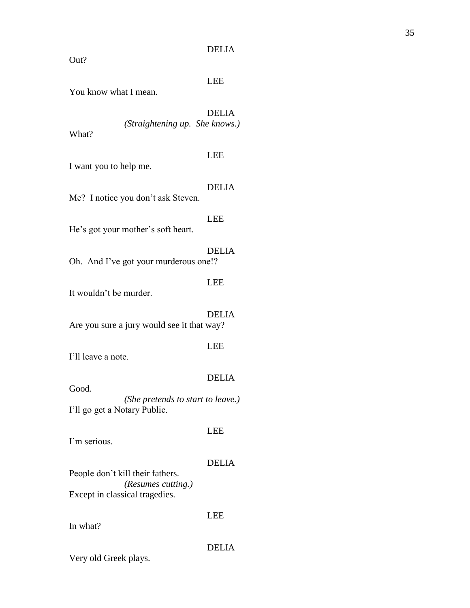#### DELIA

Out?

### LEE

You know what I mean.

DELIA *(Straightening up. She knows.)* What?

#### LEE

I want you to help me.

# DELIA

Me? I notice you don't ask Steven.

#### LEE

He's got your mother's soft heart.

#### DELIA

Oh. And I've got your murderous one!?

# LEE

It wouldn't be murder.

# DELIA

Are you sure a jury would see it that way?

#### LEE

I'll leave a note.

#### Good.

# DELIA

*(She pretends to start to leave.)* I'll go get a Notary Public.

# I'm serious.

# DELIA

LEE

# People don't kill their fathers. *(Resumes cutting.)* Except in classical tragedies.

In what?

# LEE

# DELIA

Very old Greek plays.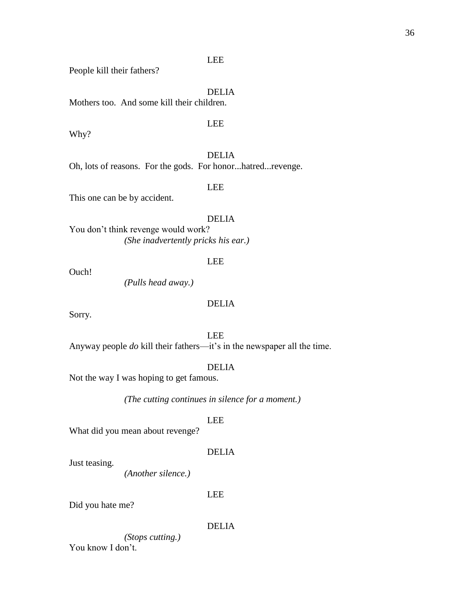People kill their fathers?

DELIA

Mothers too. And some kill their children.

LEE

Why?

DELIA

Oh, lots of reasons. For the gods. For honor...hatred...revenge.

LEE

This one can be by accident.

DELIA

You don't think revenge would work? *(She inadvertently pricks his ear.)*

LEE

Ouch!

*(Pulls head away.)*

# DELIA

Sorry.

LEE

Anyway people *do* kill their fathers—it's in the newspaper all the time.

DELIA

Not the way I was hoping to get famous.

*(The cutting continues in silence for a moment.)*

LEE

What did you mean about revenge?

# DELIA

Just teasing.

*(Another silence.)*

LEE

Did you hate me?

DELIA

*(Stops cutting.)*

You know I don't.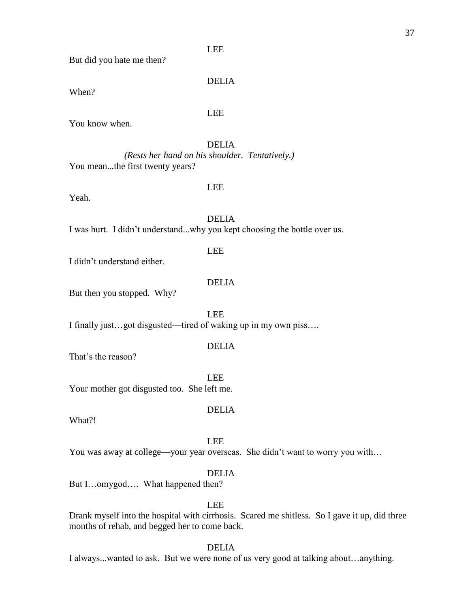But did you hate me then?

DELIA

LEE

When?

You know when.

DELIA *(Rests her hand on his shoulder. Tentatively.)* You mean...the first twenty years?

#### LEE

Yeah.

DELIA I was hurt. I didn't understand...why you kept choosing the bottle over us.

# LEE

I didn't understand either.

## DELIA

But then you stopped. Why?

 LEE I finally just…got disgusted—tired of waking up in my own piss….

# DELIA

That's the reason?

LEE Your mother got disgusted too. She left me.

What?!

LEE

You was away at college—your year overseas. She didn't want to worry you with...

DELIA

DELIA

But I…omygod…. What happened then?

LEE

Drank myself into the hospital with cirrhosis. Scared me shitless. So I gave it up, did three months of rehab, and begged her to come back.

## DELIA

I always...wanted to ask. But we were none of us very good at talking about…anything.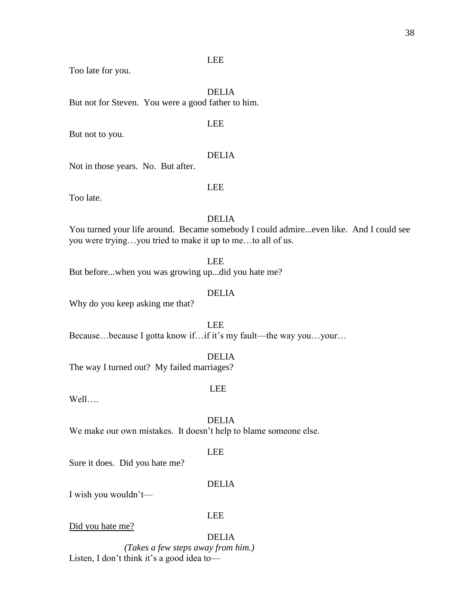Too late for you.

DELIA But not for Steven. You were a good father to him.

## LEE

But not to you.

## DELIA

Not in those years. No. But after.

## LEE

Too late.

## DELIA

You turned your life around. Became somebody I could admire...even like. And I could see you were trying…you tried to make it up to me…to all of us.

LEE

But before...when you was growing up...did you hate me?

# DELIA

Why do you keep asking me that?

LEE Because…because I gotta know if…if it's my fault—the way you…your…

## DELIA

The way I turned out? My failed marriages?

## LEE

Well….

DELIA

We make our own mistakes. It doesn't help to blame someone else.

## LEE

Sure it does. Did you hate me?

## DELIA

I wish you wouldn't—

## LEE

Did you hate me?

DELIA

*(Takes a few steps away from him.)* Listen, I don't think it's a good idea to—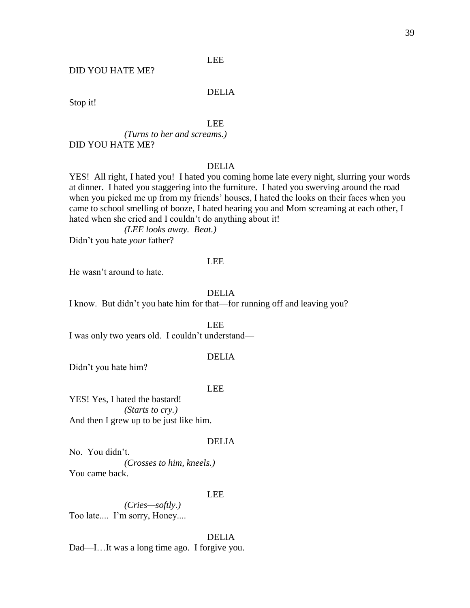## DID YOU HATE ME?

# DELIA

Stop it!

## LEE

*(Turns to her and screams.)* DID YOU HATE ME?

## DELIA

YES! All right, I hated you! I hated you coming home late every night, slurring your words at dinner. I hated you staggering into the furniture. I hated you swerving around the road when you picked me up from my friends' houses, I hated the looks on their faces when you came to school smelling of booze, I hated hearing you and Mom screaming at each other, I hated when she cried and I couldn't do anything about it!

*(LEE looks away. Beat.)*

Didn't you hate *your* father?

### LEE

He wasn't around to hate.

# DELIA

I know. But didn't you hate him for that—for running off and leaving you?

LEE

I was only two years old. I couldn't understand—

## DELIA

Didn't you hate him?

## LEE

YES! Yes, I hated the bastard! *(Starts to cry.)* And then I grew up to be just like him.

#### DELIA

No. You didn't. *(Crosses to him, kneels.)* You came back.

## LEE

*(Cries—softly.)* Too late.... I'm sorry, Honey....

## DELIA

Dad—I…It was a long time ago. I forgive you.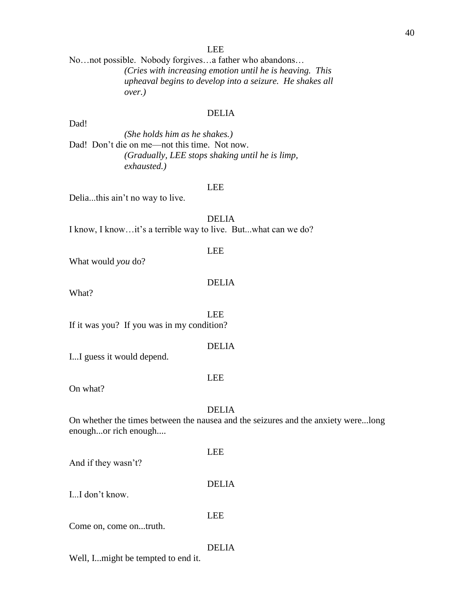No…not possible. Nobody forgives…a father who abandons… *(Cries with increasing emotion until he is heaving. This upheaval begins to develop into a seizure. He shakes all over.)*

## DELIA

*(She holds him as he shakes.)* Dad! Don't die on me—not this time. Not now. *(Gradually, LEE stops shaking until he is limp, exhausted.)*

#### LEE

Delia...this ain't no way to live.

DELIA I know, I know…it's a terrible way to live. But...what can we do?

# LEE

What would *you* do?

DELIA

What?

Dad!

 LEE If it was you? If you was in my condition?

## DELIA

I...I guess it would depend.

## On what?

### DELIA

LEE

On whether the times between the nausea and the seizures and the anxiety were...long enough...or rich enough....

And if they wasn't?

DELIA

LEE

I...I don't know.

LEE

Come on, come on...truth.

## DELIA

Well, I...might be tempted to end it.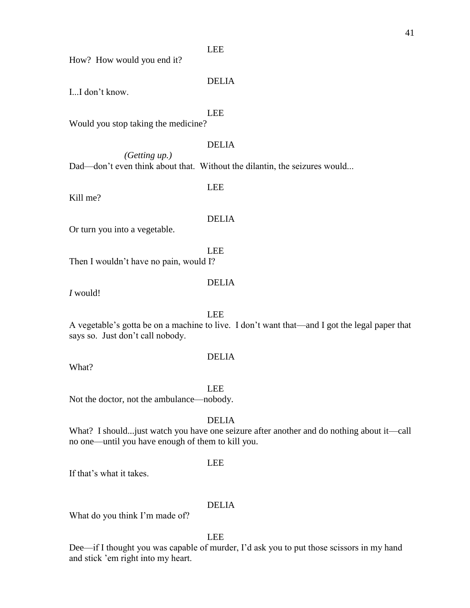How? How would you end it?

# DELIA

I...I don't know.

# LEE

Would you stop taking the medicine?

# DELIA

*(Getting up.)* Dad—don't even think about that. Without the dilantin, the seizures would...

# LEE

Kill me?

## DELIA

Or turn you into a vegetable.

Then I wouldn't have no pain, would I?

# DELIA

LEE

*I* would!

LEE

A vegetable's gotta be on a machine to live. I don't want that—and I got the legal paper that says so. Just don't call nobody.

What?

LEE

DELIA

Not the doctor, not the ambulance—nobody.

# DELIA

What? I should...just watch you have one seizure after another and do nothing about it—call no one—until you have enough of them to kill you.

## LEE

If that's what it takes.

# DELIA

What do you think I'm made of?

LEE

Dee—if I thought you was capable of murder, I'd ask you to put those scissors in my hand and stick 'em right into my heart.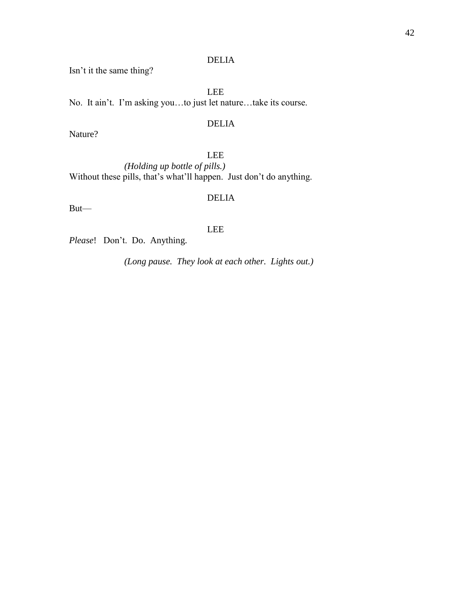# DELIA

Isn't it the same thing?

LEE No. It ain't. I'm asking you…to just let nature…take its course.

# DELIA

Nature?

# LEE

*(Holding up bottle of pills.)* Without these pills, that's what'll happen. Just don't do anything.

# DELIA

But—

# LEE

*Please*! Don't. Do. Anything.

*(Long pause. They look at each other. Lights out.)*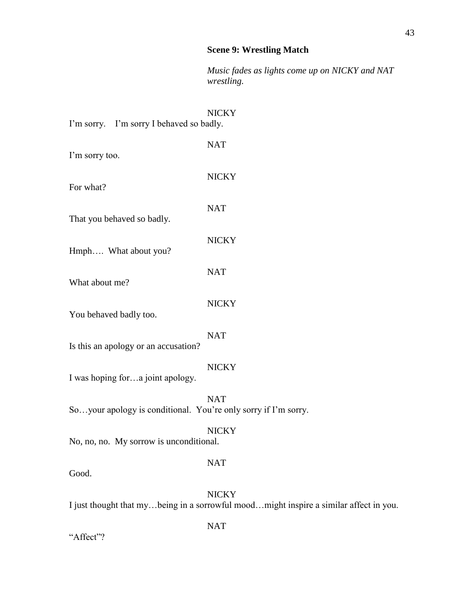# **Scene 9: Wrestling Match**

*Music fades as lights come up on NICKY and NAT wrestling.*

| I'm sorry. I'm sorry I behaved so badly.                       | <b>NICKY</b> |
|----------------------------------------------------------------|--------------|
| I'm sorry too.                                                 | <b>NAT</b>   |
| For what?                                                      | <b>NICKY</b> |
| That you behaved so badly.                                     | <b>NAT</b>   |
|                                                                | <b>NICKY</b> |
| Hmph What about you?                                           | <b>NAT</b>   |
| What about me?                                                 | <b>NICKY</b> |
| You behaved badly too.                                         | <b>NAT</b>   |
| Is this an apology or an accusation?                           |              |
| I was hoping fora joint apology.                               | <b>NICKY</b> |
| Soyour apology is conditional. You're only sorry if I'm sorry. | <b>NAT</b>   |
| No, no, no. My sorrow is unconditional.                        | <b>NICKY</b> |
| Good.                                                          | <b>NAT</b>   |
|                                                                | <b>NICKY</b> |

I just thought that my…being in a sorrowful mood…might inspire a similar affect in you.

NAT

"Affect"?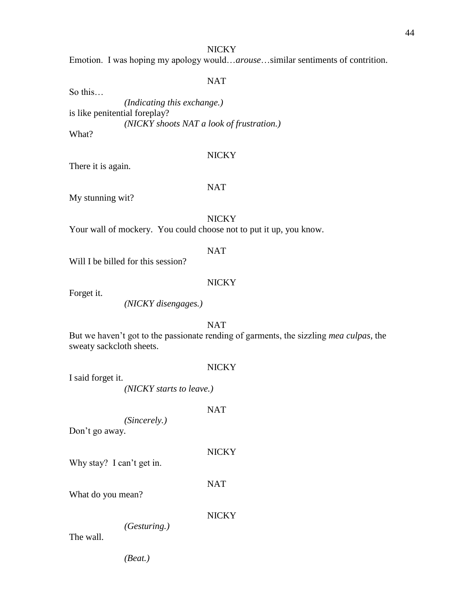Emotion. I was hoping my apology would…*arouse*…similar sentiments of contrition.

# NAT

So this…

*(Indicating this exchange.)*  is like penitential foreplay? *(NICKY shoots NAT a look of frustration.)* What?

## **NICKY**

There it is again.

#### NAT

My stunning wit?

# NICKY

Your wall of mockery. You could choose not to put it up, you know.

## NAT

Will I be billed for this session?

## **NICKY**

Forget it.

*(NICKY disengages.)*

# NAT

But we haven't got to the passionate rending of garments, the sizzling *mea culpas*, the sweaty sackcloth sheets.

## NICKY

I said forget it. *(NICKY starts to leave.)*

NAT

*(Sincerely.)* 

Don't go away.

Why stay? I can't get in.

NAT

NICKY

What do you mean?

## **NICKY**

*(Gesturing.)* 

The wall.

*(Beat.)*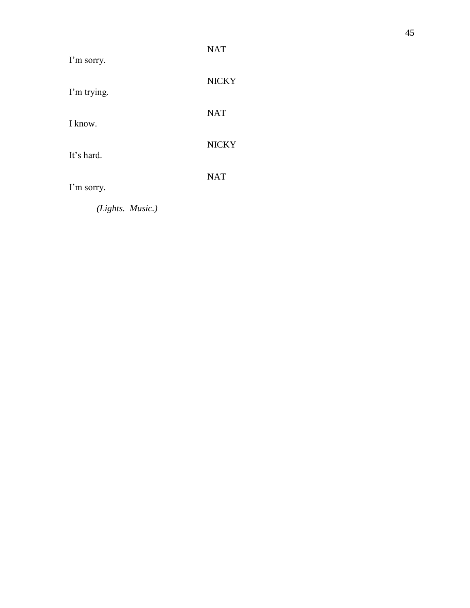| I'm sorry.  | <b>NAT</b>   |
|-------------|--------------|
| I'm trying. | <b>NICKY</b> |
| I know.     | <b>NAT</b>   |
| It's hard.  | <b>NICKY</b> |
| I'm sorry.  | <b>NAT</b>   |
|             |              |

*(Lights. Music. )*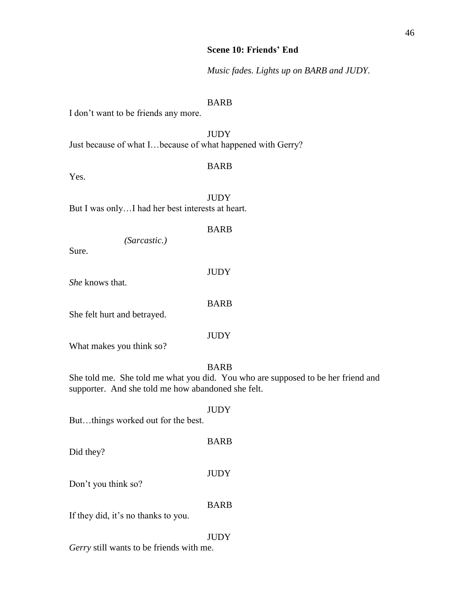*Music fades. Lights up on BARB and JUDY.*

# BARB

I don't want to be friends any more.

**JUDY** 

Just because of what I…because of what happened with Gerry?

## BARB

Yes.

JUDY But I was only…I had her best interests at heart.

# BARB

JUDY

BARB

*(Sarcastic.)* 

Sure.

*She* knows that.

She felt hurt and betrayed.

**JUDY** 

What makes you think so?

# BARB

**JUDY** 

BARB

**JUDY** 

She told me. She told me what you did. You who are supposed to be her friend and supporter. And she told me how abandoned she felt.

But…things worked out for the best.

Did they?

Don't you think so?

BARB

If they did, it's no thanks to you.

# **JUDY**

*Gerry* still wants to be friends with me.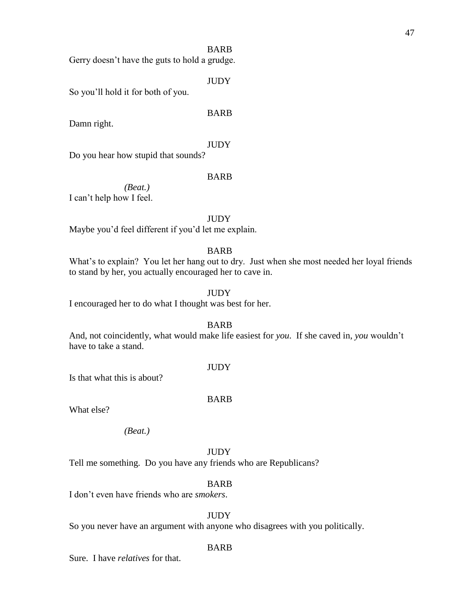## BARB

Gerry doesn't have the guts to hold a grudge.

**JUDY** 

So you'll hold it for both of you.

Damn right.

**JUDY** 

BARB

Do you hear how stupid that sounds?

## BARB

*(Beat.)* I can't help how I feel.

### **JUDY**

Maybe you'd feel different if you'd let me explain.

# BARB

What's to explain? You let her hang out to dry. Just when she most needed her loyal friends to stand by her, you actually encouraged her to cave in.

# **JUDY**

I encouraged her to do what I thought was best for her.

## BARB

And, not coincidently, what would make life easiest for *you*. If she caved in, *you* wouldn't have to take a stand.

## **JUDY**

Is that what this is about?

## BARB

What else?

*(Beat.)*

#### **JUDY**

Tell me something. Do you have any friends who are Republicans?

## BARB

I don't even have friends who are *smokers*.

# **JUDY**

So you never have an argument with anyone who disagrees with you politically.

## BARB

Sure. I have *relatives* for that.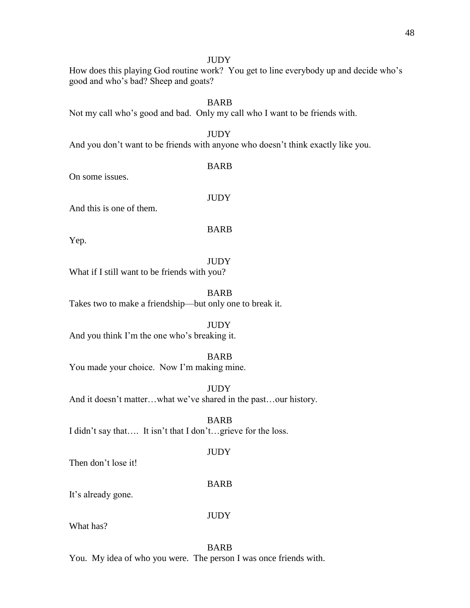## **JUDY**

How does this playing God routine work? You get to line everybody up and decide who's good and who's bad? Sheep and goats?

# BARB

Not my call who's good and bad. Only my call who I want to be friends with.

# **JUDY**

And you don't want to be friends with anyone who doesn't think exactly like you.

BARB

On some issues.

**JUDY** 

And this is one of them.

BARB

Yep.

# **JUDY**

What if I still want to be friends with you?

BARB Takes two to make a friendship—but only one to break it.

# **JUDY**

And you think I'm the one who's breaking it.

# BARB

You made your choice. Now I'm making mine.

**JUDY** And it doesn't matter…what we've shared in the past…our history.

BARB I didn't say that…. It isn't that I don't…grieve for the loss.

# **JUDY**

Then don't lose it!

# BARB

It's already gone.

JUDY

What has?

# BARB

You. My idea of who you were. The person I was once friends with.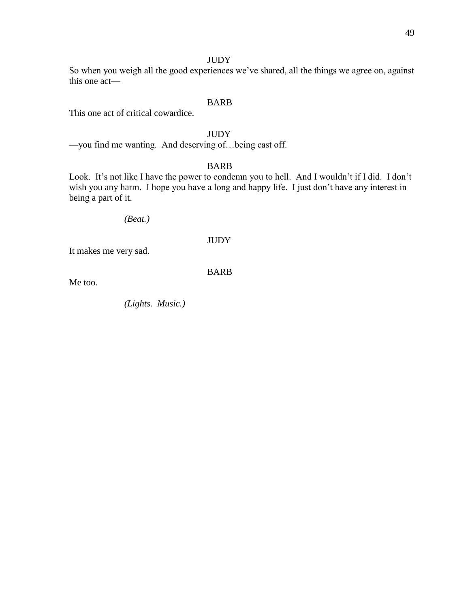# JUDY

So when you weigh all the good experiences we've shared, all the things we agree on, against this one act—

# BARB

This one act of critical cowardice.

# **JUDY**

—you find me wanting. And deserving of…being cast off.

# BARB

Look. It's not like I have the power to condemn you to hell. And I wouldn't if I did. I don't wish you any harm. I hope you have a long and happy life. I just don't have any interest in being a part of it.

*(Beat.)* 

#### **JUDY**

It makes me very sad.

BARB

Me too.

*(Lights. Music.)*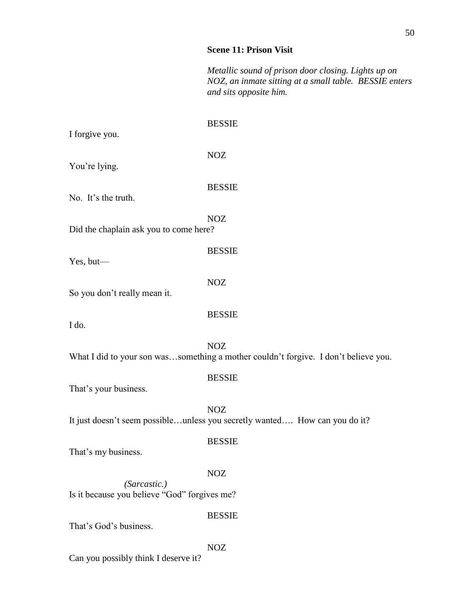# **Scene 11: Prison Visit**

*Metallic sound of prison door closing. Lights up on NOZ, an inmate sitting at a small table. BESSIE enters and sits opposite him.*

| I forgive you.                                               | <b>BESSIE</b>                                                                                     |
|--------------------------------------------------------------|---------------------------------------------------------------------------------------------------|
| You're lying.                                                | <b>NOZ</b>                                                                                        |
| No. It's the truth.                                          | <b>BESSIE</b>                                                                                     |
| Did the chaplain ask you to come here?                       | <b>NOZ</b>                                                                                        |
| Yes, but-                                                    | <b>BESSIE</b>                                                                                     |
| So you don't really mean it.                                 | <b>NOZ</b>                                                                                        |
| I do.                                                        | <b>BESSIE</b>                                                                                     |
|                                                              | <b>NOZ</b><br>What I did to your son wassomething a mother couldn't forgive. I don't believe you. |
| That's your business.                                        | <b>BESSIE</b>                                                                                     |
|                                                              | <b>NOZ</b><br>It just doesn't seem possibleunless you secretly wanted How can you do it?          |
| That's my business.                                          | <b>BESSIE</b>                                                                                     |
| (Sarcastic.)<br>Is it because you believe "God" forgives me? | <b>NOZ</b>                                                                                        |
| That's God's business.                                       | <b>BESSIE</b>                                                                                     |
|                                                              | <b>NOZ</b>                                                                                        |

Can you possibly think I deserve it?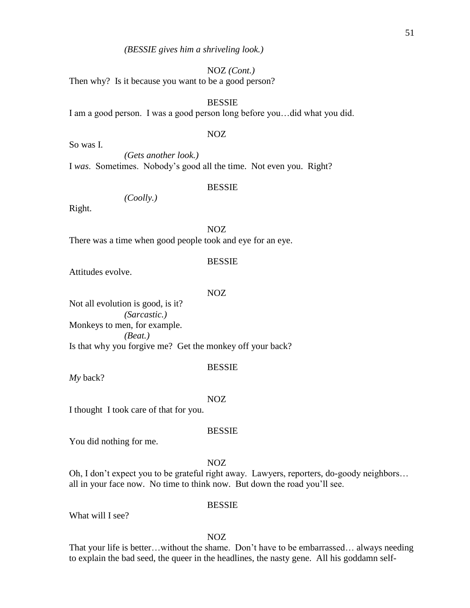## NOZ *(Cont.)*

Then why? Is it because you want to be a good person?

# BESSIE

I am a good person. I was a good person long before you…did what you did.

#### NOZ

So was I. *(Gets another look.)* I *was*. Sometimes. Nobody's good all the time. Not even you. Right?

#### BESSIE

*(Coolly.)*

Right.

NOZ

There was a time when good people took and eye for an eye.

### BESSIE

Attitudes evolve.

#### NOZ

Not all evolution is good, is it? *(Sarcastic.)*  Monkeys to men, for example. *(Beat.)*  Is that why you forgive me? Get the monkey off your back?

#### BESSIE

*My* back?

#### NOZ

I thought I took care of that for you.

## BESSIE

You did nothing for me.

#### NOZ

Oh, I don't expect you to be grateful right away. Lawyers, reporters, do-goody neighbors… all in your face now. No time to think now. But down the road you'll see.

#### BESSIE

What will I see?

## NOZ

That your life is better…without the shame. Don't have to be embarrassed… always needing to explain the bad seed, the queer in the headlines, the nasty gene. All his goddamn self-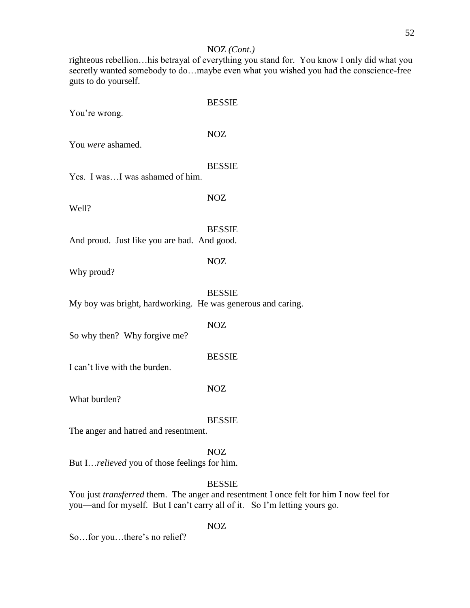## NOZ *(Cont.)*

righteous rebellion…his betrayal of everything you stand for. You know I only did what you secretly wanted somebody to do…maybe even what you wished you had the conscience-free guts to do yourself.

BESSIE You're wrong. NOZ BESSIE NOZ **BESSIE** And proud. Just like you are bad. And good. NOZ Why proud? BESSIE My boy was bright, hardworking. He was generous and caring.

NOZ

So why then? Why forgive me?

**BESSIE** 

NOZ

I can't live with the burden.

What burden?

BESSIE

The anger and hatred and resentment.

## NOZ

But I…*relieved* you of those feelings for him.

# BESSIE

You just *transferred* them. The anger and resentment I once felt for him I now feel for you—and for myself. But I can't carry all of it. So I'm letting yours go.

NOZ

So…for you…there's no relief?

You *were* ashamed.

Yes. I was…I was ashamed of him.

Well?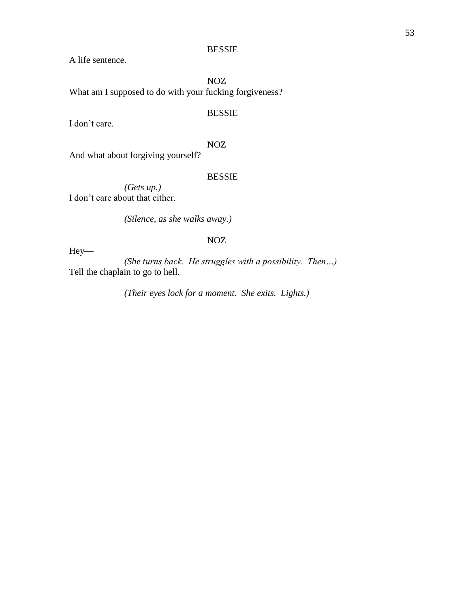## BESSIE

A life sentence.

NOZ What am I supposed to do with your fucking forgiveness?

# BESSIE

I don't care.

# NOZ

And what about forgiving yourself?

## BESSIE

*(Gets up.)*  I don't care about that either.

*(Silence, as she walks away.)*

# NOZ

Hey—

*(She turns back. He struggles with a possibility. Then…)* Tell the chaplain to go to hell.

*(Their eyes lock for a moment. She exits. Lights.)*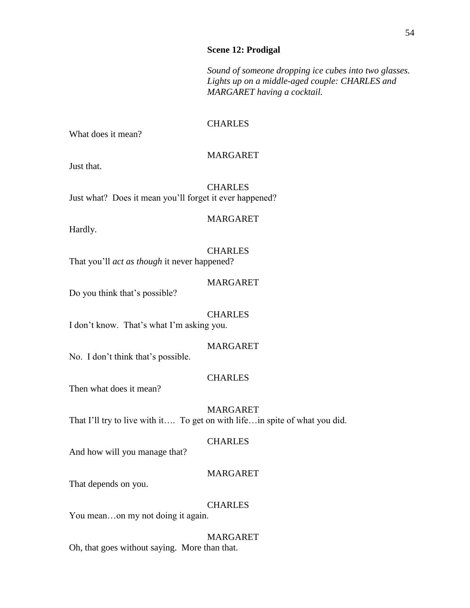## **Scene 12: Prodigal**

*Sound of someone dropping ice cubes into two glasses. Lights up on a middle-aged couple: CHARLES and MARGARET having a cocktail.*

# **CHARLES**

What does it mean?

# MARGARET

Just that.

**CHARLES** Just what? Does it mean you'll forget it ever happened?

## MARGARET

Hardly.

## **CHARLES**

That you'll *act as though* it never happened?

## MARGARET

Do you think that's possible?

## **CHARLES**

I don't know. That's what I'm asking you.

# MARGARET

No. I don't think that's possible.

# CHARLES

Then what does it mean?

MARGARET That I'll try to live with it…. To get on with life…in spite of what you did.

## CHARLES

And how will you manage that?

# MARGARET

That depends on you.

## CHARLES

You mean…on my not doing it again.

MARGARET Oh, that goes without saying. More than that.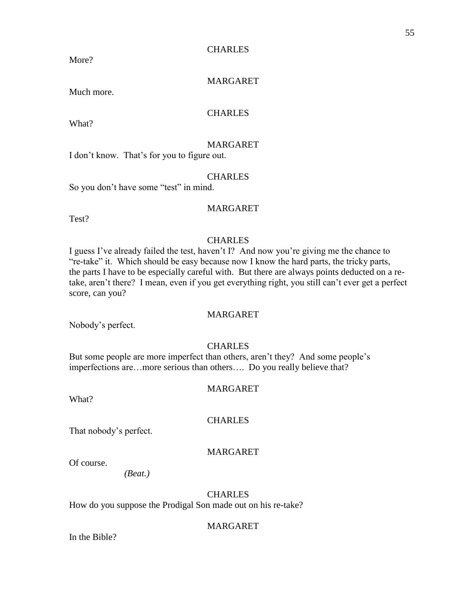## **CHARLES**

More?

# MARGARET

Much more.

# **CHARLES**

What?

# MARGARET

I don't know. That's for you to figure out.

## **CHARLES**

So you don't have some "test" in mind.

# MARGARET

Test?

# CHARLES

I guess I've already failed the test, haven't I? And now you're giving me the chance to "re-take" it. Which should be easy because now I know the hard parts, the tricky parts, the parts I have to be especially careful with. But there are always points deducted on a retake, aren't there? I mean, even if you get everything right, you still can't ever get a perfect score, can you?

# MARGARET

Nobody's perfect.

# **CHARLES**

But some people are more imperfect than others, aren't they? And some people's imperfections are…more serious than others…. Do you really believe that?

# MARGARET

What?

## **CHARLES**

That nobody's perfect.

# MARGARET

Of course.

*(Beat.)* 

# **CHARLES**

How do you suppose the Prodigal Son made out on his re-take?

# MARGARET

In the Bible?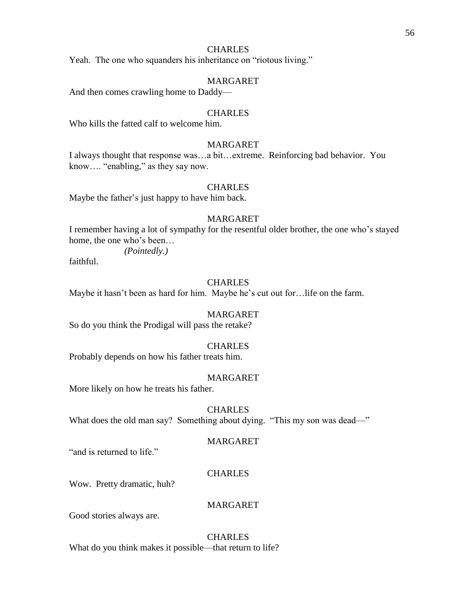## CHARLES

Yeah. The one who squanders his inheritance on "riotous living."

## MARGARET

And then comes crawling home to Daddy—

# **CHARLES**

Who kills the fatted calf to welcome him.

# MARGARET

I always thought that response was…a bit…extreme. Reinforcing bad behavior. You know…. "enabling," as they say now.

#### **CHARLES**

Maybe the father's just happy to have him back.

## MARGARET

I remember having a lot of sympathy for the resentful older brother, the one who's stayed home, the one who's been…

*(Pointedly.)* 

faithful.

# **CHARLES**

Maybe it hasn't been as hard for him. Maybe he's cut out for…life on the farm.

## MARGARET

So do you think the Prodigal will pass the retake?

## **CHARLES**

Probably depends on how his father treats him.

#### MARGARET

More likely on how he treats his father.

# **CHARLES** What does the old man say? Something about dying. "This my son was dead—"

#### MARGARET

"and is returned to life."

# **CHARLES**

Wow. Pretty dramatic, huh?

# MARGARET

Good stories always are.

## **CHARLES**

What do you think makes it possible—that return to life?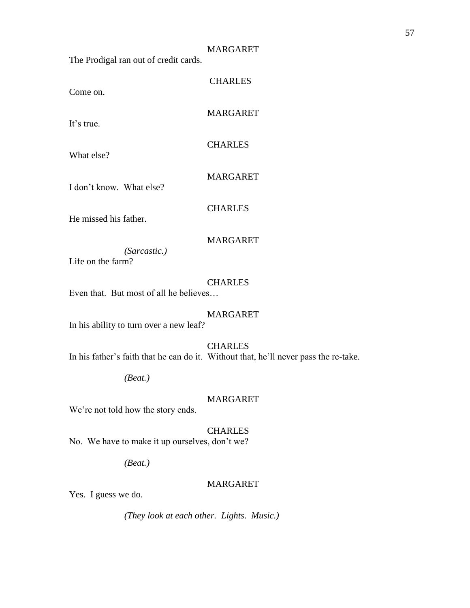#### MARGARET

**CHARLES** 

MARGARET

CHARLES

The Prodigal ran out of credit cards.

Come on.

It's true.

What else?

I don't know. What else?

**CHARLES** 

MARGARET

He missed his father.

## MARGARET

*(Sarcastic.)* 

Life on the farm?

## CHARLES

Even that. But most of all he believes…

# MARGARET

In his ability to turn over a new leaf?

## CHARLES

In his father's faith that he can do it. Without that, he'll never pass the re-take.

*(Beat.)*

## MARGARET

We're not told how the story ends.

# CHARLES

No. We have to make it up ourselves, don't we?

*(Beat.)*

## MARGARET

Yes. I guess we do.

*(They look at each other. Lights. Music.)*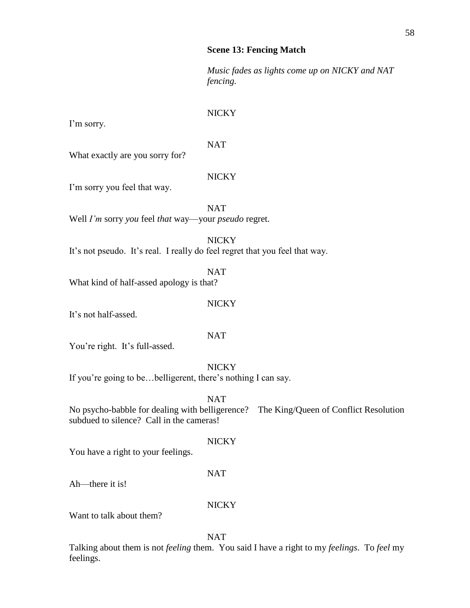## **Scene 13: Fencing Match**

*Music fades as lights come up on NICKY and NAT fencing.*

# **NICKY**

I'm sorry.

NAT

What exactly are you sorry for?

# NICKY

I'm sorry you feel that way.

**NAT** 

Well *I'm* sorry *you* feel *that* way—your *pseudo* regret.

# **NICKY**

It's not pseudo. It's real. I really do feel regret that you feel that way.

NAT

What kind of half-assed apology is that?

# **NICKY**

It's not half-assed.

# NAT

You're right. It's full-assed.

**NICKY** 

If you're going to be…belligerent, there's nothing I can say.

NAT

No psycho-babble for dealing with belligerence? The King/Queen of Conflict Resolution subdued to silence? Call in the cameras!

# **NICKY**

You have a right to your feelings.

# NAT

Ah—there it is!

# NICKY

Want to talk about them?

NAT

Talking about them is not *feeling* them. You said I have a right to my *feelings*. To *feel* my feelings.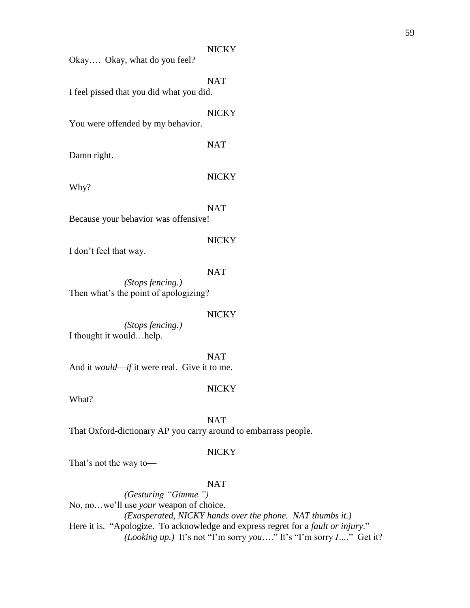Okay…. Okay, what do you feel?

**NAT** 

I feel pissed that you did what you did.

**NICKY** 

NAT

You were offended by my behavior.

Damn right.

Why?

**NICKY** 

**NAT** Because your behavior was offensive!

**NICKY** 

I don't feel that way.

NAT

*(Stops fencing.)* Then what's the point of apologizing?

#### NICKY

*(Stops fencing.)* I thought it would…help.

NAT And it *would*—*if* it were real. Give it to me.

#### **NICKY**

What?

NAT

That Oxford-dictionary AP you carry around to embarrass people.

## NICKY

That's not the way to—

## NAT

*(Gesturing "Gimme.")*  No, no…we'll use *your* weapon of choice. *(Exasperated, NICKY hands over the phone. NAT thumbs it.)* Here it is. "Apologize. To acknowledge and express regret for a *fault or injury*." *(Looking up.)* It's not "I'm sorry *you*…." It's "I'm sorry *I….*" Get it?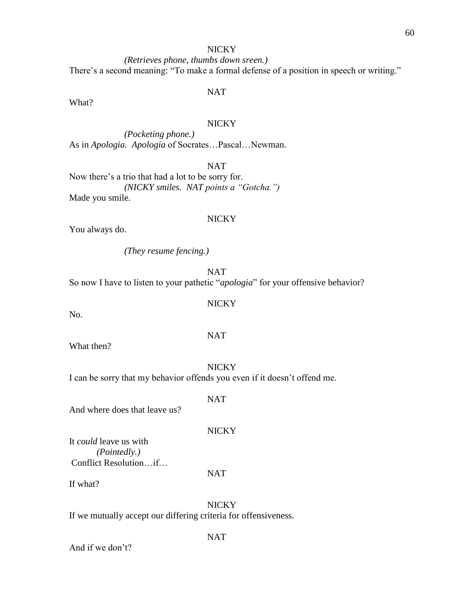*(Retrieves phone, thumbs down sreen.)* There's a second meaning: "To make a formal defense of a position in speech or writing."

## NAT

What?

## NICKY

*(Pocketing phone.)* As in *Apologia. Apologia* of Socrates…Pascal…Newman.

NAT

Now there's a trio that had a lot to be sorry for. *(NICKY smiles. NAT points a "Gotcha.")*  Made you smile.

### **NICKY**

You always do.

*(They resume fencing.)*

NAT

So now I have to listen to your pathetic "*apologia*" for your offensive behavior?

# **NICKY**

No.

What then?

**NICKY** I can be sorry that my behavior offends you even if it doesn't offend me.

NAT

And where does that leave us?

It *could* leave us with *(Pointedly.)* Conflict Resolution…if…

If what?

NICKY If we mutually accept our differing criteria for offensiveness.

And if we don't?

## NAT

# NAT

NAT

# **NICKY**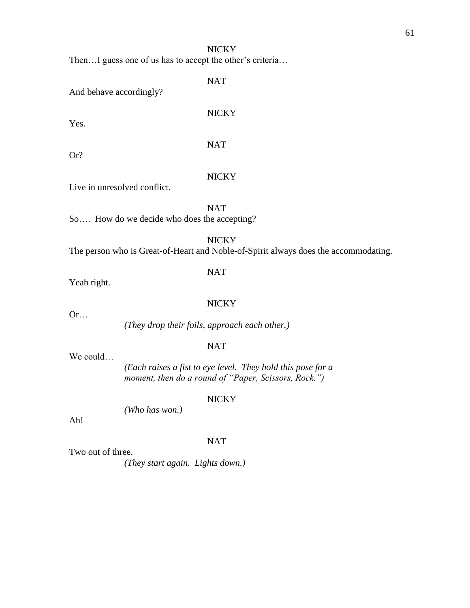Then…I guess one of us has to accept the other's criteria…

NAT

And behave accordingly?

Yes.

NICKY

NAT

Or?

## **NICKY**

Live in unresolved conflict.

NAT

So.... How do we decide who does the accepting?

# **NICKY**

The person who is Great-of-Heart and Noble-of-Spirit always does the accommodating.

# NAT

Yeah right.

Or…

# **NICKY**

*(They drop their foils, approach each other.)*

# NAT

We could…

 *(Each raises a fist to eye level. They hold this pose for a moment, then do a round of "Paper, Scissors, Rock.")*

# **NICKY**

*(Who has won.)*

Ah!

# NAT

Two out of three.

*(They start again. Lights down.)*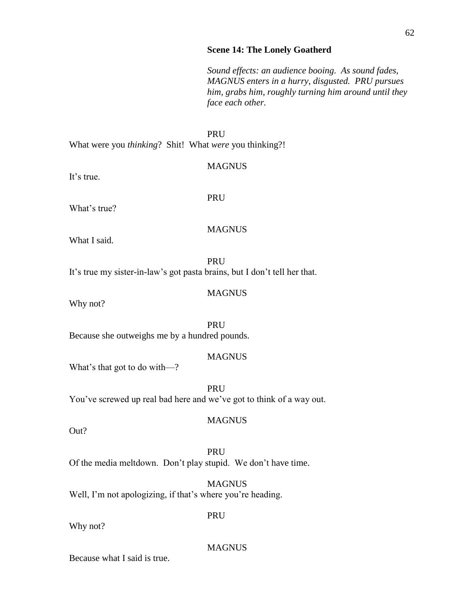#### **Scene 14: The Lonely Goatherd**

*Sound effects: an audience booing. As sound fades, MAGNUS enters in a hurry, disgusted. PRU pursues him, grabs him, roughly turning him around until they face each other.*

#### PRU

What were you *thinking*? Shit! What *were* you thinking?!

It's true.

MAGNUS

PRU

What's true?

**MAGNUS** 

**MAGNUS** 

What I said.

**PRU** It's true my sister-in-law's got pasta brains, but I don't tell her that.

Why not?

PRU Because she outweighs me by a hundred pounds.

## **MAGNUS**

What's that got to do with—?

PRU You've screwed up real bad here and we've got to think of a way out.

**MAGNUS** 

Out?

# PRU Of the media meltdown. Don't play stupid. We don't have time.

**MAGNUS** Well, I'm not apologizing, if that's where you're heading.

Why not?

## MAGNUS

PRU

Because what I said is true.

## 62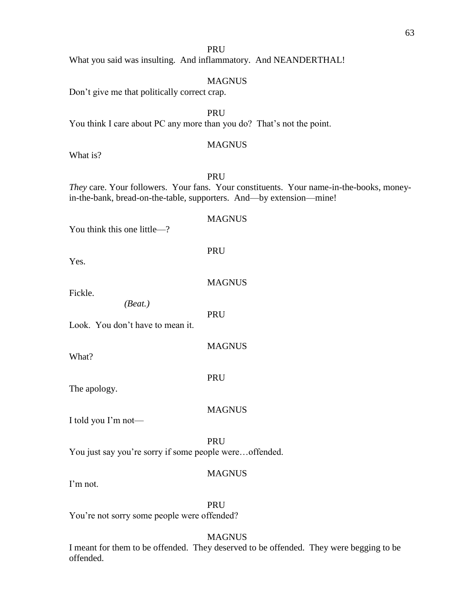What you said was insulting. And inflammatory. And NEANDERTHAL!

# **MAGNUS**

Don't give me that politically correct crap.

PRU

You think I care about PC any more than you do? That's not the point.

# **MAGNUS**

**MAGNITS** 

What is?

# PRU

*They* care. Your followers. Your fans. Your constituents. Your name-in-the-books, moneyin-the-bank, bread-on-the-table, supporters. And—by extension—mine!

| You think this one little-?                            | <b>MUTOTTOP</b> |
|--------------------------------------------------------|-----------------|
| Yes.                                                   | <b>PRU</b>      |
| Fickle.                                                | <b>MAGNUS</b>   |
| (Beat.)<br>Look. You don't have to mean it.            | PRU             |
| What?                                                  | <b>MAGNUS</b>   |
| The apology.                                           | <b>PRU</b>      |
| I told you I'm not—                                    | <b>MAGNUS</b>   |
| You just say you're sorry if some people wereoffended. | <b>PRU</b>      |
| $\Gamma$ m not.                                        | <b>MAGNUS</b>   |

I'm not.

PRU

You're not sorry some people were offended?

# **MAGNUS**

I meant for them to be offended. They deserved to be offended. They were begging to be offended.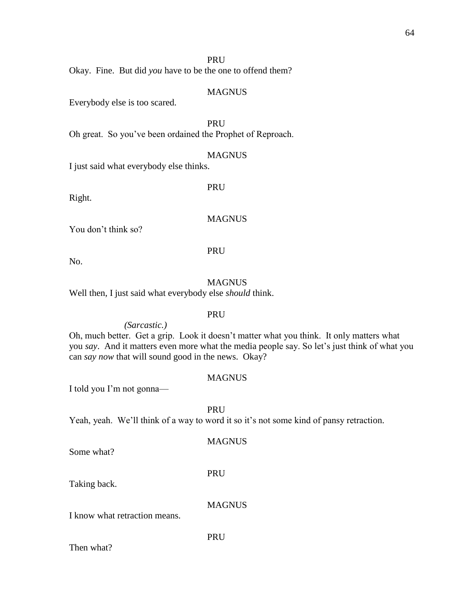# PRU

Okay. Fine. But did *you* have to be the one to offend them?

#### MAGNUS

Everybody else is too scared.

PRU

Oh great. So you've been ordained the Prophet of Reproach.

#### MAGNUS

I just said what everybody else thinks.

Right.

PRU

## MAGNUS

You don't think so?

PRU

No.

## MAGNUS

Well then, I just said what everybody else *should* think.

## PRU

*(Sarcastic.)* Oh, much better. Get a grip. Look it doesn't matter what you think. It only matters what you *say*. And it matters even more what the media people say. So let's just think of what you can *say now* that will sound good in the news. Okay?

## MAGNUS

I told you I'm not gonna—

PRU Yeah, yeah. We'll think of a way to word it so it's not some kind of pansy retraction.

**MAGNUS** 

Some what?

PRU

PRU

Taking back.

MAGNUS

I know what retraction means.

Then what?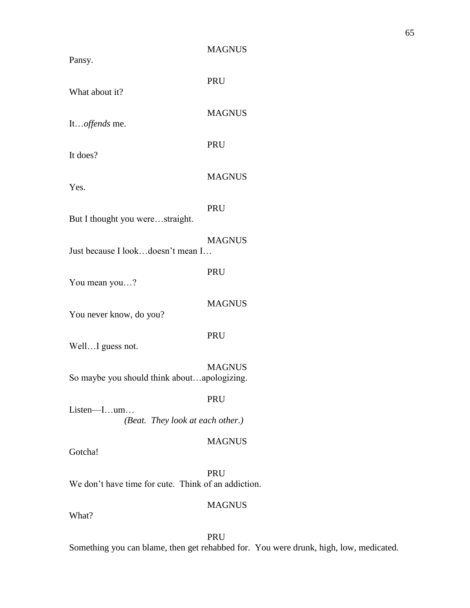| o. |
|----|
|----|

PRU

What about it?

It…*offends* me.

It does?

Yes.

MAGNUS

MAGNUS

PRU

PRU

PRU

But I thought you were…straight.

MAGNUS

Just because I look…doesn't mean I…

You mean you…?

MAGNUS

You never know, do you?

PRU

Well...I guess not.

**MAGNUS** 

So maybe you should think about…apologizing.

PRU

Listen—I…um… *(Beat. They look at each other.)*

MAGNUS

Gotcha!

PRU We don't have time for cute. Think of an addiction.

# MAGNUS

What?

PRU

Something you can blame, then get rehabbed for. You were drunk, high, low, medicated.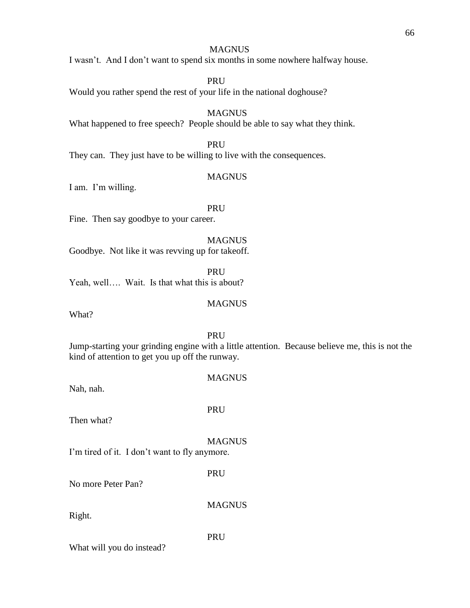# **MAGNUS**

I wasn't. And I don't want to spend six months in some nowhere halfway house.

PRU

Would you rather spend the rest of your life in the national doghouse?

**MAGNUS** What happened to free speech? People should be able to say what they think.

PRU

They can. They just have to be willing to live with the consequences.

## **MAGNUS**

I am. I'm willing.

PRU

Fine. Then say goodbye to your career.

# MAGNUS

Goodbye. Not like it was revving up for takeoff.

PRU Yeah, well…. Wait. Is that what this is about?

## **MAGNUS**

What?

PRU

Jump-starting your grinding engine with a little attention. Because believe me, this is not the kind of attention to get you up off the runway.

Nah, nah.

# MAGNUS

Then what?

PRU

**MAGNUS** 

I'm tired of it. I don't want to fly anymore.

PRU

No more Peter Pan?

MAGNUS

Right.

PRU

What will you do instead?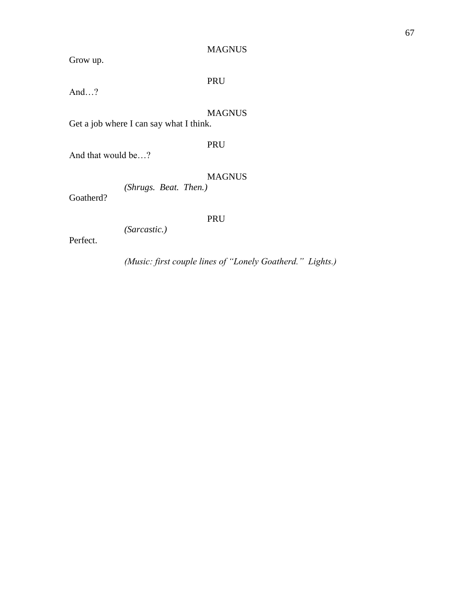# MAGNUS

Grow up.

# PRU

And…?

# MAGNUS

Get a job where I can say what I think.

# PRU

And that would be…?

# MAGNUS

*(Shrugs. Beat. Then.)* 

Goatherd?

# PRU

*(Sarcastic.)*

Perfect.

*(Music: first couple lines of "Lonely Goatherd." Lights.)*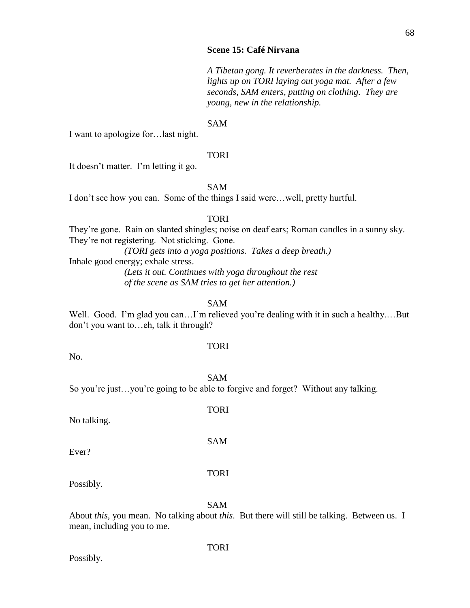*A Tibetan gong. It reverberates in the darkness. Then, lights up on TORI laying out yoga mat. After a few seconds, SAM enters, putting on clothing. They are young, new in the relationship.*

#### SAM

I want to apologize for…last night.

#### TORI

It doesn't matter. I'm letting it go.

# SAM

I don't see how you can. Some of the things I said were…well, pretty hurtful.

## TORI

They're gone. Rain on slanted shingles; noise on deaf ears; Roman candles in a sunny sky. They're not registering. Not sticking. Gone.

*(TORI gets into a yoga positions. Takes a deep breath.)*  Inhale good energy; exhale stress.

*(Lets it out. Continues with yoga throughout the rest of the scene as SAM tries to get her attention.)*

#### SAM

Well. Good. I'm glad you can...I'm relieved you're dealing with it in such a healthy....But don't you want to…eh, talk it through?

# TORI

No.

SAM

So you're just…you're going to be able to forgive and forget? Without any talking.

TORI

SAM

No talking.

Ever?

## Possibly.

SAM

TORI

About *this,* you mean. No talking about *this*. But there will still be talking. Between us. I mean, including you to me.

# Possibly.

## TORI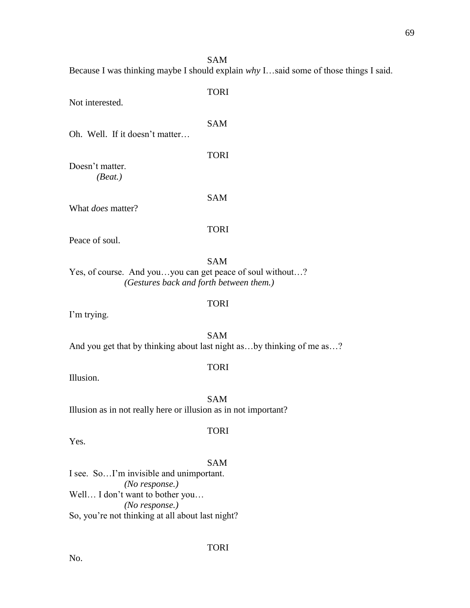Because I was thinking maybe I should explain *why* I…said some of those things I said. TORI Not interested. SAM Oh. Well. If it doesn't matter… TORI

SAM

Doesn't matter. *(Beat.)*

What *does* matter?

TORI

SAM

Peace of soul.

SAM

TORI

TORI

Yes, of course. And you…you can get peace of soul without…? *(Gestures back and forth between them.)*

I'm trying.

SAM And you get that by thinking about last night as...by thinking of me as...?

Illusion.

SAM Illusion as in not really here or illusion as in not important?

Yes.

SAM

TORI

I see. So…I'm invisible and unimportant. *(No response.)* Well... I don't want to bother you... *(No response.)* So, you're not thinking at all about last night?

TORI

No.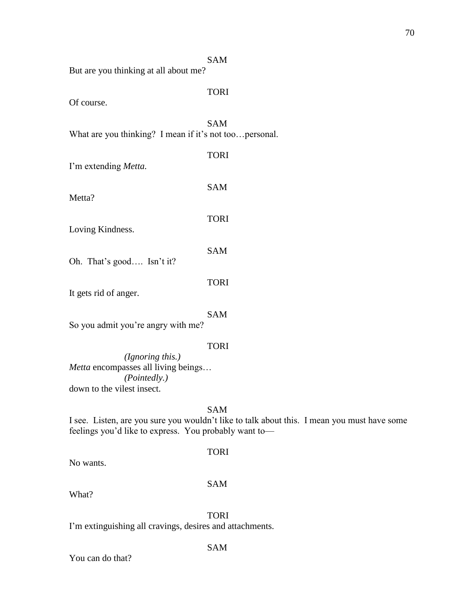|                                                                                                       | <b>SAM</b>                                                                                                |  |
|-------------------------------------------------------------------------------------------------------|-----------------------------------------------------------------------------------------------------------|--|
| But are you thinking at all about me?                                                                 |                                                                                                           |  |
| Of course.                                                                                            | <b>TORI</b>                                                                                               |  |
| What are you thinking? I mean if it's not toopersonal.                                                | <b>SAM</b>                                                                                                |  |
| I'm extending Metta.                                                                                  | <b>TORI</b>                                                                                               |  |
| Metta?                                                                                                | <b>SAM</b>                                                                                                |  |
| Loving Kindness.                                                                                      | <b>TORI</b>                                                                                               |  |
| Oh. That's good Isn't it?                                                                             | <b>SAM</b>                                                                                                |  |
| It gets rid of anger.                                                                                 | <b>TORI</b>                                                                                               |  |
| So you admit you're angry with me?                                                                    | <b>SAM</b>                                                                                                |  |
| (Ignoring this.)<br>Metta encompasses all living beings<br>(Pointedly.)<br>down to the vilest insect. | <b>TORI</b>                                                                                               |  |
| feelings you'd like to express. You probably want to-                                                 | <b>SAM</b><br>I see. Listen, are you sure you wouldn't like to talk about this. I mean you must have some |  |

TORI

No wants.

# SAM

What?

TORI

SAM

I'm extinguishing all cravings, desires and attachments.

You can do that?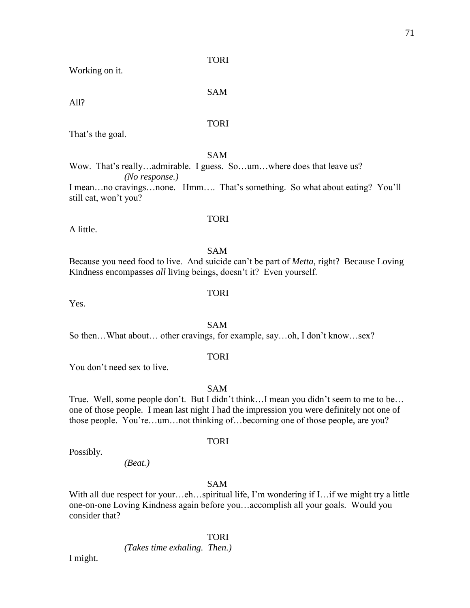TORI

Working on it.

SAM

All?

## TORI

That's the goal.

still eat, won't you?

# SAM

Wow. That's really...admirable. I guess. So...um...where does that leave us? *(No response.)* I mean…no cravings…none. Hmm…. That's something. So what about eating? You'll

A little.

# SAM

TORI

TORI

Because you need food to live. And suicide can't be part of *Metta*, right? Because Loving Kindness encompasses *all* living beings, doesn't it? Even yourself.

Yes.

SAM So then…What about… other cravings, for example, say…oh, I don't know…sex?

# TORI

You don't need sex to live.

SAM

True. Well, some people don't. But I didn't think…I mean you didn't seem to me to be… one of those people. I mean last night I had the impression you were definitely not one of those people. You're…um…not thinking of…becoming one of those people, are you?

Possibly.

# TORI

*(Beat.)*

# SAM

With all due respect for your...eh...spiritual life, I'm wondering if I... if we might try a little one-on-one Loving Kindness again before you…accomplish all your goals. Would you consider that?

# TORI

*(Takes time exhaling. Then.)* 

I might.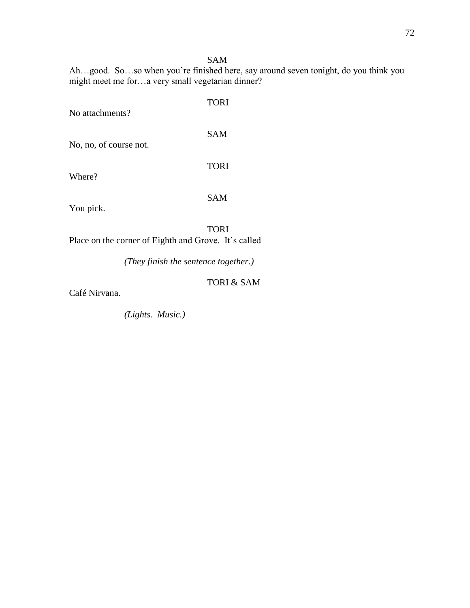## SAM

Ah…good. So…so when you're finished here, say around seven tonight, do you think you might meet me for…a very small vegetarian dinner?

| No attachments?        | <b>TORI</b> |
|------------------------|-------------|
| No, no, of course not. | <b>SAM</b>  |
| Where?                 | <b>TORI</b> |
| You pick.              | <b>SAM</b>  |
|                        | TORI        |

Place on the corner of Eighth and Grove. It's called—

*(They finish the sentence together.)*

## TORI & SAM

Café Nirvana.

*(Lights. Music.)*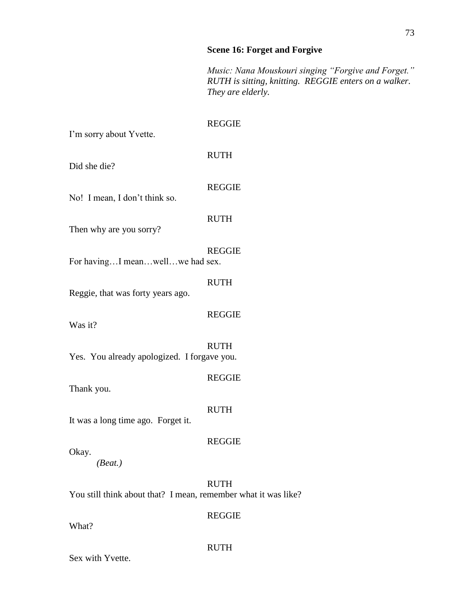## **Scene 16: Forget and Forgive**

*Music: Nana Mouskouri singing "Forgive and Forget." RUTH is sitting, knitting. REGGIE enters on a walker. They are elderly.*

| I'm sorry about Yvette.                                        | <b>REGGIE</b> |
|----------------------------------------------------------------|---------------|
| Did she die?                                                   | <b>RUTH</b>   |
| No! I mean, I don't think so.                                  | <b>REGGIE</b> |
| Then why are you sorry?                                        | <b>RUTH</b>   |
| For havingI meanwellwe had sex.                                | <b>REGGIE</b> |
| Reggie, that was forty years ago.                              | <b>RUTH</b>   |
| Was it?                                                        | <b>REGGIE</b> |
| Yes. You already apologized. I forgave you.                    | <b>RUTH</b>   |
| Thank you.                                                     | <b>REGGIE</b> |
| It was a long time ago. Forget it.                             | <b>RUTH</b>   |
| Okay.<br>(Beat.)                                               | <b>REGGIE</b> |
| You still think about that? I mean, remember what it was like? | <b>RUTH</b>   |
| What?                                                          | <b>REGGIE</b> |
|                                                                | <b>RUTH</b>   |

Sex with Yvette.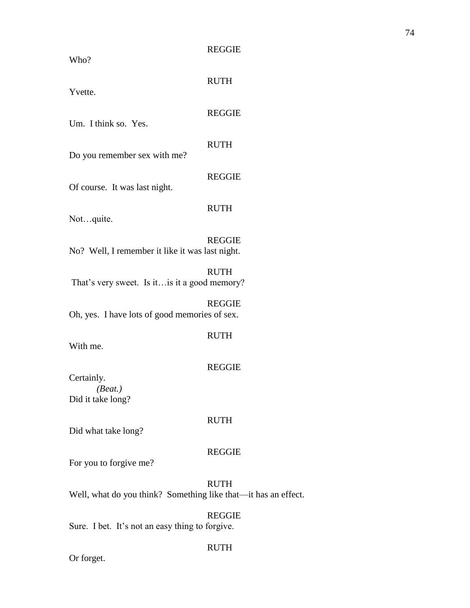| <b>REGGIE</b> |
|---------------|
|               |

| v no :                                          |               |
|-------------------------------------------------|---------------|
| Yvette.                                         | <b>RUTH</b>   |
| Um. I think so. Yes.                            | <b>REGGIE</b> |
| Do you remember sex with me?                    | <b>RUTH</b>   |
| Of course. It was last night.                   | <b>REGGIE</b> |
| Notquite.                                       | <b>RUTH</b>   |
| No? Well, I remember it like it was last night. | <b>REGGIE</b> |
| That's very sweet. Is it is it a good memory?   | <b>RUTH</b>   |
| Oh, yes. I have lots of good memories of sex.   | <b>REGGIE</b> |
| With me.                                        | <b>RUTH</b>   |
| Certainly.                                      | <b>REGGIE</b> |
| (Beat.)<br>Did it take long?                    |               |
| Did what take long?                             | <b>RUTH</b>   |
| For you to forgive me?                          | <b>REGGIE</b> |
|                                                 | ז זידי ז ח    |

RUTH Well, what do you think? Something like that—it has an effect.

REGGIE Sure. I bet. It's not an easy thing to forgive.

## Or forget.

# RUTH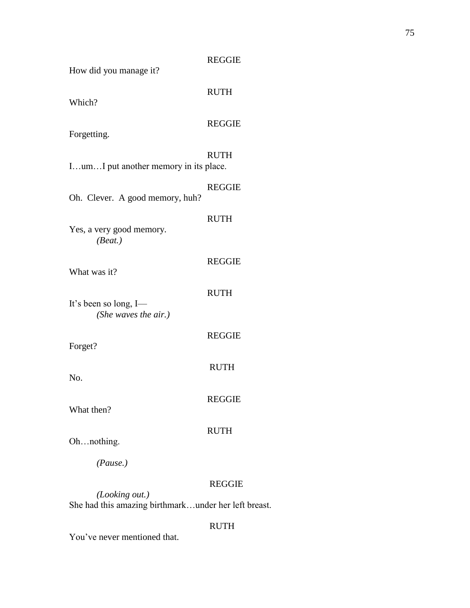| How did you manage it?                                                 | <b>REGGIE</b> |
|------------------------------------------------------------------------|---------------|
| Which?                                                                 | <b>RUTH</b>   |
| Forgetting.                                                            | <b>REGGIE</b> |
| IumI put another memory in its place.                                  | <b>RUTH</b>   |
| Oh. Clever. A good memory, huh?                                        | <b>REGGIE</b> |
| Yes, a very good memory.<br>(Beat.)                                    | <b>RUTH</b>   |
| What was it?                                                           | <b>REGGIE</b> |
| It's been so long, I—<br>(She waves the air.)                          | <b>RUTH</b>   |
| Forget?                                                                | <b>REGGIE</b> |
| No.                                                                    | <b>RUTH</b>   |
| What then?                                                             | REGGIE        |
| Ohnothing.                                                             | <b>RUTH</b>   |
| (Pause.)                                                               |               |
| (Looking out.)<br>She had this amazing birthmarkunder her left breast. | <b>REGGIE</b> |

## RUTH

You've never mentioned that.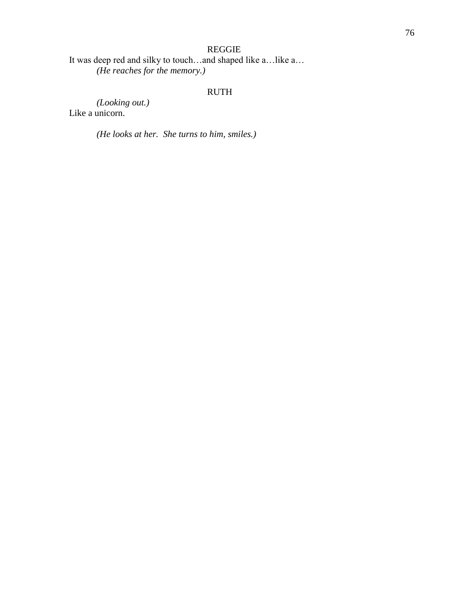## REGGIE

It was deep red and silky to touch…and shaped like a…like a… *(He reaches for the memory.)*

## RUTH

*(Looking out.)* Like a unicorn.

*(He looks at her. She turns to him, smiles.)*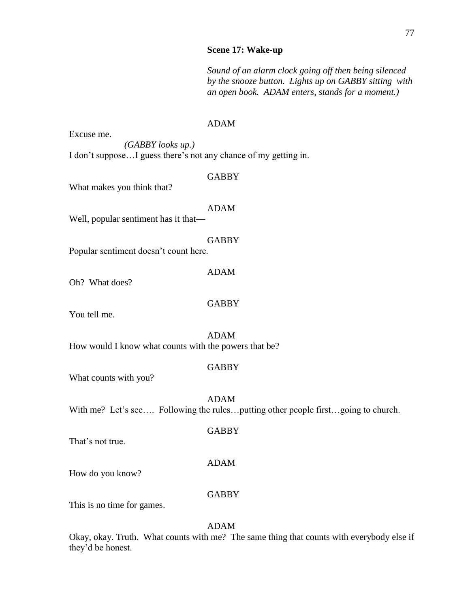#### **Scene 17: Wake-up**

*Sound of an alarm clock going off then being silenced by the snooze button. Lights up on GABBY sitting with an open book. ADAM enters, stands for a moment.)*

#### ADAM

Excuse me. *(GABBY looks up.)*

I don't suppose…I guess there's not any chance of my getting in.

#### **GABBY**

What makes you think that?

ADAM

Well, popular sentiment has it that—

GABBY

Popular sentiment doesn't count here.

ADAM

Oh? What does?

**GABBY** 

You tell me.

ADAM How would I know what counts with the powers that be?

## GABBY

What counts with you?

ADAM

With me? Let's see.... Following the rules... putting other people first... going to church.

That's not true.

#### ADAM

**GABBY** 

How do you know?

#### GABBY

This is no time for games.

## ADAM

Okay, okay. Truth. What counts with me? The same thing that counts with everybody else if they'd be honest.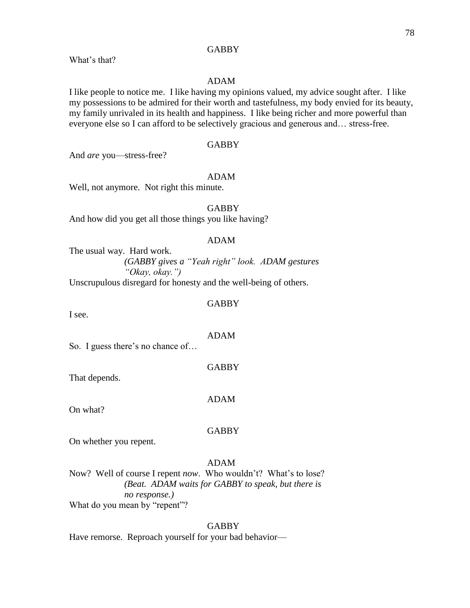#### **GABBY**

What's that?

#### ADAM

I like people to notice me. I like having my opinions valued, my advice sought after. I like my possessions to be admired for their worth and tastefulness, my body envied for its beauty, my family unrivaled in its health and happiness. I like being richer and more powerful than everyone else so I can afford to be selectively gracious and generous and... stress-free.

#### GABBY

And *are* you—stress-free?

#### ADAM

Well, not anymore. Not right this minute.

GABBY

And how did you get all those things you like having?

#### ADAM

The usual way. Hard work. *(GABBY gives a "Yeah right" look. ADAM gestures "Okay, okay.")*

Unscrupulous disregard for honesty and the well-being of others.

#### **GABBY**

I see.

#### ADAM

So. I guess there's no chance of…

GABBY

That depends.

On what?

#### **GABBY**

ADAM

On whether you repent.

## ADAM

Now? Well of course I repent *now*. Who wouldn't? What's to lose? *(Beat. ADAM waits for GABBY to speak, but there is no response.)*  What do you mean by "repent"?

#### GABBY

Have remorse. Reproach yourself for your bad behavior—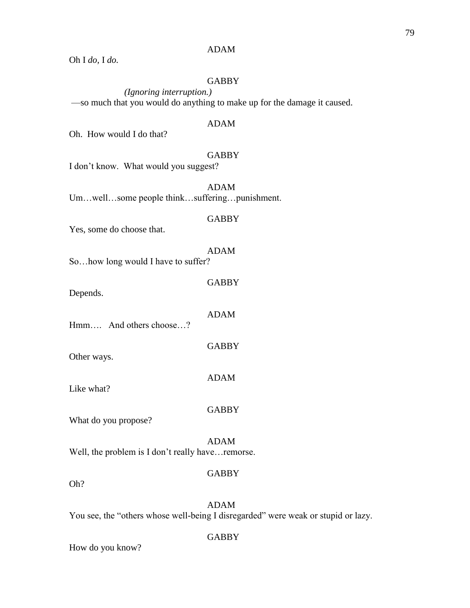#### ADAM

Oh I *do,* I *do.*

## GABBY

*(Ignoring interruption.)* —so much that you would do anything to make up for the damage it caused.

#### ADAM

Oh. How would I do that?

#### GABBY

I don't know. What would you suggest?

ADAM Um…well…some people think…suffering…punishment.

#### GABBY

Yes, some do choose that.

#### ADAM

So…how long would I have to suffer?

Depends.

Hmm…. And others choose…?

Other ways.

Like what?

What do you propose?

Well, the problem is I don't really have... remorse.

## **GABBY**

ADAM

Oh?

ADAM

You see, the "others whose well-being I disregarded" were weak or stupid or lazy.

#### **GABBY**

How do you know?

## **GABBY**

ADAM

**GABBY** 

ADAM

**GABBY**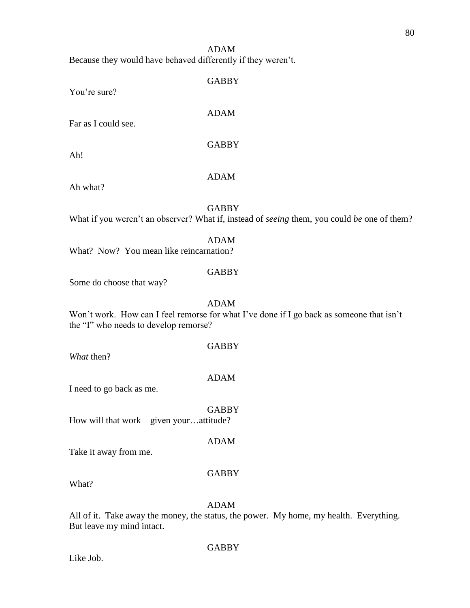ADAM Because they would have behaved differently if they weren't.

| You're sure?                                                     | <b>GABBY</b> |
|------------------------------------------------------------------|--------------|
| Far as I could see.                                              | <b>ADAM</b>  |
| Ah!                                                              | <b>GABBY</b> |
| Ah what?                                                         | <b>ADAM</b>  |
| What if you weren't an observer? What if, instead of seeing then | <b>GABBY</b> |
|                                                                  |              |

What if you weren't an observer? What if, instead of *seeing* them, you could *be* one of them?

## ADAM

What? Now? You mean like reincarnation?

## **GABBY**

Some do choose that way?

## ADAM

Won't work. How can I feel remorse for what I've done if I go back as someone that isn't the "I" who needs to develop remorse?

*What* then?

# ADAM

GABBY

I need to go back as me.

**GABBY** How will that work—given your…attitude?

## ADAM

Take it away from me.

## GABBY

What?

## ADAM

All of it. Take away the money, the status, the power. My home, my health. Everything. But leave my mind intact.

## GABBY

Like Job.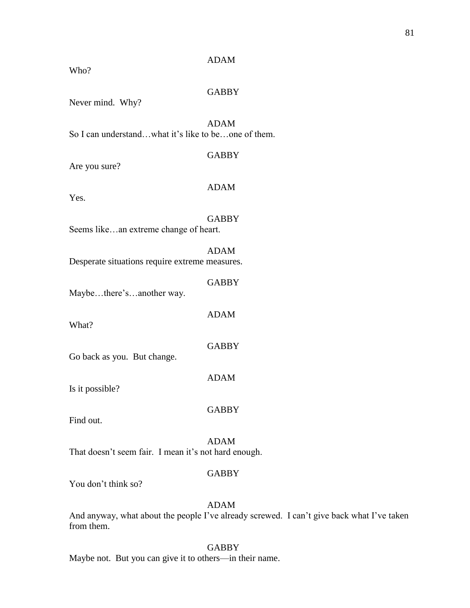| Never mind. Why?                                     |              |
|------------------------------------------------------|--------------|
| So I can understandwhat it's like to beone of them.  | <b>ADAM</b>  |
| Are you sure?                                        | <b>GABBY</b> |
| Yes.                                                 | <b>ADAM</b>  |
| Seems likean extreme change of heart.                | <b>GABBY</b> |
| Desperate situations require extreme measures.       | <b>ADAM</b>  |
| Maybethere'sanother way.                             | <b>GABBY</b> |
| What?                                                | <b>ADAM</b>  |
| Go back as you. But change.                          | <b>GABBY</b> |
| Is it possible?                                      | <b>ADAM</b>  |
| Find out.                                            | <b>GABBY</b> |
| That doesn't seem fair. I mean it's not hard enough. | <b>ADAM</b>  |
| $\mathbf{V}$ $1 \cdot 24 \cdot 1 \cdot 1 \cdot 1$    | <b>GABBY</b> |

You don't think so?

Who?

ADAM

ADAM

**GABBY** 

And anyway, what about the people I've already screwed. I can't give back what I've taken from them.

**GABBY** 

Maybe not. But you can give it to others—in their name.